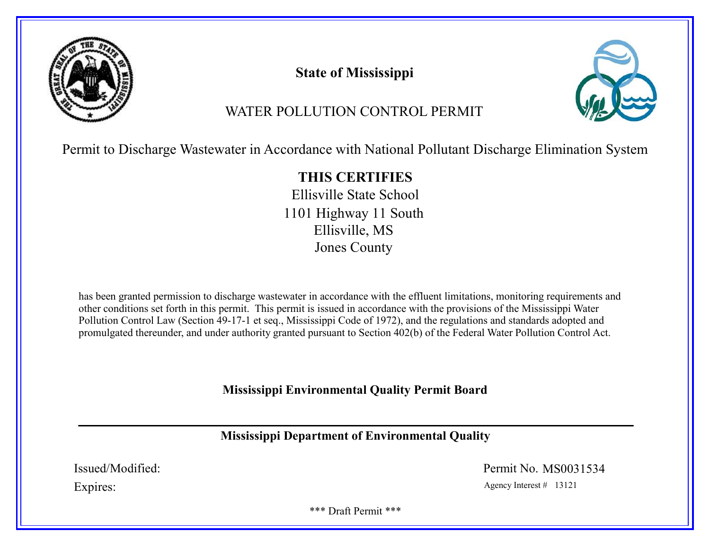

# State of Mississippi



# WATER POLLUTION CONTROL PERMIT

Permit to Discharge Wastewater in Accordance with National Pollutant Discharge Elimination System

# THIS CERTIFIES

Ellisville State School 1101 Highway 11 South Ellisville, MS Jones County

has been granted permission to discharge wastewater in accordance with the effluent limitations, monitoring requirements and other conditions set forth in this permit. This permit is issued in accordance with the provisions of the Mississippi Water Pollution Control Law (Section 49-17-1 et seq., Mississippi Code of 1972), and the regulations and standards adopted and promulgated thereunder, and under authority granted pursuant to Section 402(b) of the Federal Water Pollution Control Act.

# Mississippi Environmental Quality Permit Board

# Mississippi Department of Environmental Quality

Issued/Modified: Permit No. MS0031534

Expires: Agency Interest # 13121

\*\*\* Draft Permit \*\*\*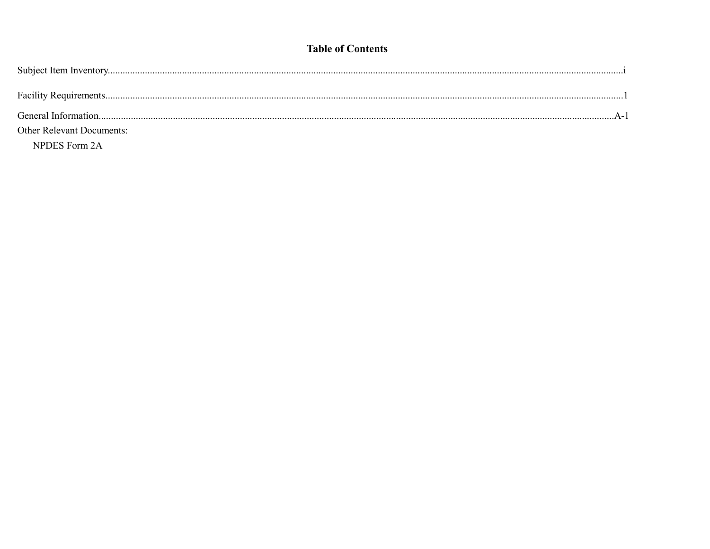# **Table of Contents**

| <b>Other Relevant Documents:</b> |  |
|----------------------------------|--|
| NPDES Form 2A                    |  |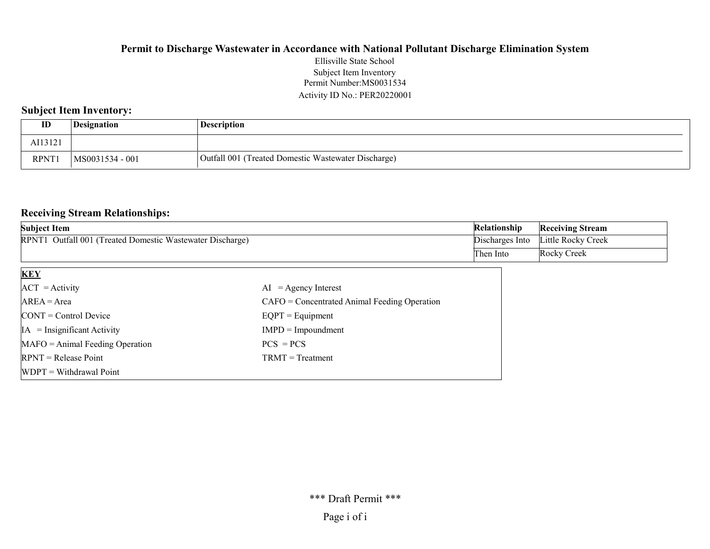#### Permit Number:MS0031534 Activity ID No.: PER20220001 Ellisville State School Subject Item Inventory

### Subject Item Inventory:

| ID          | <i>Designation</i> | <b>Description</b>                                  |
|-------------|--------------------|-----------------------------------------------------|
| AI13121     |                    |                                                     |
| <b>RPNT</b> | MS0031534 - 001    | Outfall 001 (Treated Domestic Wastewater Discharge) |

#### Receiving Stream Relationships:

| <b>Subject Item</b>                                       | Relationship | <b>Receiving Stream</b>            |
|-----------------------------------------------------------|--------------|------------------------------------|
| RPNT1 Outfall 001 (Treated Domestic Wastewater Discharge) |              | Discharges Into Little Rocky Creek |
|                                                           | Then Into    | Rocky Creek                        |

| <b>KEY</b>                            |                                                |
|---------------------------------------|------------------------------------------------|
| $ACT = Activity$                      | $AI = Agency Interest$                         |
| $AREA = Area$                         | $CAFO =$ Concentrated Animal Feeding Operation |
| $\text{CONT} = \text{Control Device}$ | $EQPT = Equipment$                             |
| $IA = Insignificant Activity$         | $IMPD = Impoundment$                           |
| $MAFO = Animal Feeding Operation$     | $PCS = PCS$                                    |
| $RPNT = Release Point$                | $TRMT = Treatment$                             |
| $WDPT = Without$ Withdrawal Point     |                                                |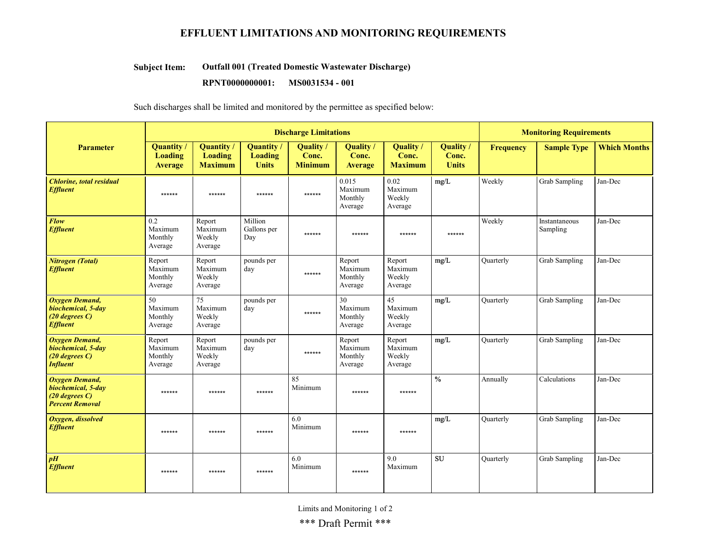## EFFLUENT LIMITATIONS AND MONITORING REQUIREMENTS

#### Outfall 001 (Treated Domestic Wastewater Discharge) Subject Item:

RPNT0000000001: MS0031534 - 001

Such discharges shall be limited and monitored by the permittee as specified below:

|                                                                                              | <b>Discharge Limitations</b>                          |                                                       |                                             |                                      |                                         |                                                 | <b>Monitoring Requirements</b>     |                  |                           |                     |
|----------------------------------------------------------------------------------------------|-------------------------------------------------------|-------------------------------------------------------|---------------------------------------------|--------------------------------------|-----------------------------------------|-------------------------------------------------|------------------------------------|------------------|---------------------------|---------------------|
| <b>Parameter</b>                                                                             | <b>Quantity</b> /<br><b>Loading</b><br><b>Average</b> | <b>Quantity</b> /<br><b>Loading</b><br><b>Maximum</b> | Quantity/<br><b>Loading</b><br><b>Units</b> | Quality /<br>Conc.<br><b>Minimum</b> | Quality<br>Conc.<br>Average             | Quality /<br>Conc.<br><b>Maximum</b>            | Quality /<br>Conc.<br><b>Units</b> | <b>Frequency</b> | <b>Sample Type</b>        | <b>Which Months</b> |
| <b>Chlorine</b> , total residual<br><b>Effluent</b>                                          | ******                                                | ******                                                | ******                                      | ******                               | 0.015<br>Maximum<br>Monthly<br>Average  | 0.02<br>Maximum<br>Weekly<br>Average            | mg/L                               | Weekly           | Grab Sampling             | Jan-Dec             |
| <b>Flow</b><br><b>Effluent</b>                                                               | 0.2<br>Maximum<br>Monthly<br>Average                  | Report<br>Maximum<br>Weekly<br>Average                | Million<br>Gallons per<br>Day               | ******                               | ******                                  | ******                                          | ******                             | Weekly           | Instantaneous<br>Sampling | Jan-Dec             |
| Nitrogen (Total)<br><b>Effluent</b>                                                          | Report<br>Maximum<br>Monthly<br>Average               | Report<br>Maximum<br>Weekly<br>Average                | pounds per<br>day                           | ******                               | Report<br>Maximum<br>Monthly<br>Average | Report<br>Maximum<br>Weekly<br>Average          | mg/L                               | Quarterly        | Grab Sampling             | Jan-Dec             |
| <b>Oxygen Demand,</b><br>biochemical, 5-day<br>$(20$ degrees $C$ )<br><b>Effluent</b>        | 50<br>Maximum<br>Monthly<br>Average                   | $\overline{75}$<br>Maximum<br>Weekly<br>Average       | pounds per<br>day                           | ******                               | 30<br>Maximum<br>Monthly<br>Average     | $\overline{45}$<br>Maximum<br>Weekly<br>Average | mg/L                               | Quarterly        | Grab Sampling             | Jan-Dec             |
| <b>Oxygen Demand,</b><br>biochemical, 5-day<br>$(20$ degrees $C$ )<br><b>Influent</b>        | Report<br>Maximum<br>Monthly<br>Average               | Report<br>Maximum<br>Weekly<br>Average                | pounds per<br>day                           | ******                               | Report<br>Maximum<br>Monthly<br>Average | Report<br>Maximum<br>Weekly<br>Average          | mg/L                               | Ouarterly        | Grab Sampling             | Jan-Dec             |
| <b>Oxygen Demand,</b><br>biochemical, 5-day<br>$(20$ degrees $C$ )<br><b>Percent Removal</b> | ******                                                | ******                                                | ******                                      | 85<br>Minimum                        | ******                                  | ******                                          | $\frac{0}{0}$                      | Annually         | Calculations              | Jan-Dec             |
| Oxygen, dissolved<br><b>Effluent</b>                                                         | ******                                                | ******                                                | ******                                      | 6.0<br>Minimum                       | ******                                  | ******                                          | mg/L                               | Quarterly        | Grab Sampling             | Jan-Dec             |
| $\boldsymbol{p}$ H<br><b>Effluent</b>                                                        | ******                                                | ******                                                | ******                                      | 6.0<br>Minimum                       | $******$                                | 9.0<br>Maximum                                  | SU                                 | Ouarterly        | <b>Grab Sampling</b>      | Jan-Dec             |

Limits and Monitoring 1 of 2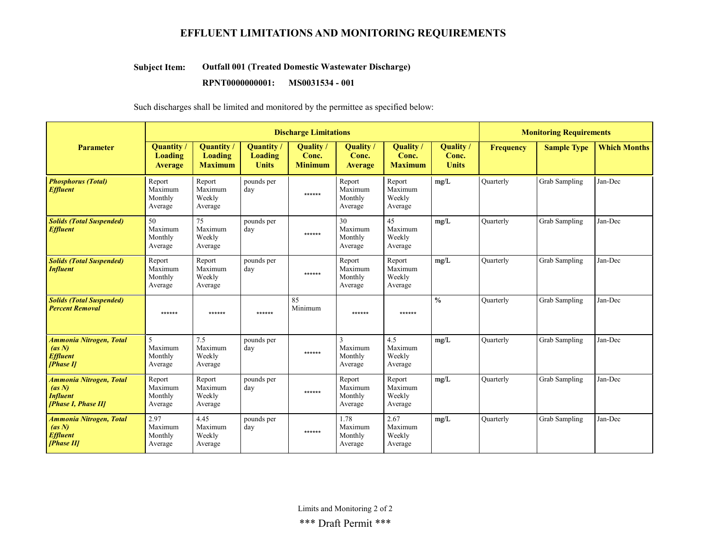## EFFLUENT LIMITATIONS AND MONITORING REQUIREMENTS

#### Outfall 001 (Treated Domestic Wastewater Discharge) Subject Item:

#### RPNT0000000001: MS0031534 - 001

Such discharges shall be limited and monitored by the permittee as specified below:

|                                                                                    | <b>Discharge Limitations</b>                    |                                                       |                                            |                                      |                                           |                                        | <b>Monitoring Requirements</b>            |                  |                      |                     |
|------------------------------------------------------------------------------------|-------------------------------------------------|-------------------------------------------------------|--------------------------------------------|--------------------------------------|-------------------------------------------|----------------------------------------|-------------------------------------------|------------------|----------------------|---------------------|
| <b>Parameter</b>                                                                   | <b>Quantity</b> /<br>Loading<br><b>Average</b>  | <b>Quantity</b> /<br><b>Loading</b><br><b>Maximum</b> | Quantity<br><b>Loading</b><br><b>Units</b> | Quality /<br>Conc.<br><b>Minimum</b> | <b>Quality</b><br>Conc.<br><b>Average</b> | Quality /<br>Conc.<br><b>Maximum</b>   | <b>Quality</b> /<br>Conc.<br><b>Units</b> | Frequency        | <b>Sample Type</b>   | <b>Which Months</b> |
| <b>Phosphorus (Total)</b><br><b>Effluent</b>                                       | Report<br>Maximum<br>Monthly<br>Average         | Report<br>Maximum<br>Weekly<br>Average                | pounds per<br>day                          | ******                               | Report<br>Maximum<br>Monthly<br>Average   | Report<br>Maximum<br>Weekly<br>Average | mg/L                                      | Ouarterly        | <b>Grab Sampling</b> | Jan-Dec             |
| <b>Solids (Total Suspended)</b><br><b>Effluent</b>                                 | 50<br>Maximum<br>Monthly<br>Average             | 75<br>Maximum<br>Weekly<br>Average                    | pounds per<br>day                          | ******                               | 30<br>Maximum<br>Monthly<br>Average       | 45<br>Maximum<br>Weekly<br>Average     | mg/L                                      | <b>Quarterly</b> | <b>Grab Sampling</b> | Jan-Dec             |
| <b>Solids (Total Suspended)</b><br><b>Influent</b>                                 | Report<br>Maximum<br>Monthly<br>Average         | Report<br>Maximum<br>Weekly<br>Average                | pounds per<br>day                          | ******                               | Report<br>Maximum<br>Monthly<br>Average   | Report<br>Maximum<br>Weekly<br>Average | mg/L                                      | <b>Ouarterly</b> | <b>Grab Sampling</b> | Jan-Dec             |
| <b>Solids (Total Suspended)</b><br><b>Percent Removal</b>                          | ******                                          | ******                                                | ******                                     | 85<br>Minimum                        | ******                                    | ******                                 | $\frac{0}{0}$                             | <b>Quarterly</b> | <b>Grab Sampling</b> | Jan-Dec             |
| Ammonia Nitrogen, Total<br>(as N)<br><b>Effluent</b><br>[Phase II]                 | $\mathfrak{F}$<br>Maximum<br>Monthly<br>Average | 7.5<br>Maximum<br>Weekly<br>Average                   | pounds per<br>day                          | ******                               | 3<br>Maximum<br>Monthly<br>Average        | 4.5<br>Maximum<br>Weekly<br>Average    | mg/L                                      | <b>Quarterly</b> | <b>Grab Sampling</b> | Jan-Dec             |
| <b>Ammonia Nitrogen, Total</b><br>(as N)<br><b>Influent</b><br>[Phase I, Phase II] | Report<br>Maximum<br>Monthly<br>Average         | Report<br>Maximum<br>Weekly<br>Average                | pounds per<br>day                          | ******                               | Report<br>Maximum<br>Monthly<br>Average   | Report<br>Maximum<br>Weekly<br>Average | mg/L                                      | Quarterly        | <b>Grab Sampling</b> | Jan-Dec             |
| Ammonia Nitrogen, Total<br>(as N)<br><b>Effluent</b><br>[Phase II]                 | 2.97<br>Maximum<br>Monthly<br>Average           | 4.45<br>Maximum<br>Weekly<br>Average                  | pounds per<br>day                          | ******                               | 1.78<br>Maximum<br>Monthly<br>Average     | 2.67<br>Maximum<br>Weekly<br>Average   | mg/L                                      | <b>Quarterly</b> | <b>Grab Sampling</b> | Jan-Dec             |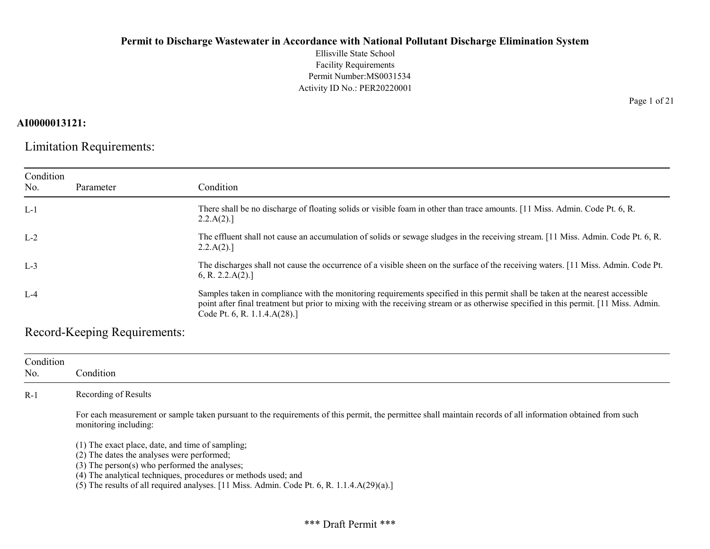Ellisville State School Facility Requirements Permit Number:MS0031534 Activity ID No.: PER20220001

# AI0000013121:

Limitation Requirements:

| Condition<br>No. | Parameter | Condition                                                                                                                                                                                                                                                                                              |
|------------------|-----------|--------------------------------------------------------------------------------------------------------------------------------------------------------------------------------------------------------------------------------------------------------------------------------------------------------|
| $L-1$            |           | There shall be no discharge of floating solids or visible foam in other than trace amounts. [11 Miss. Admin. Code Pt. 6, R.<br>2.2.A(2).                                                                                                                                                               |
| $L-2$            |           | The effluent shall not cause an accumulation of solids or sewage sludges in the receiving stream. [11 Miss. Admin. Code Pt. 6, R.<br>2.2.A(2).                                                                                                                                                         |
| $L-3$            |           | The discharges shall not cause the occurrence of a visible sheen on the surface of the receiving waters. [11 Miss. Admin. Code Pt.<br>6, R. 2.2.A(2).                                                                                                                                                  |
| $L-4$            |           | Samples taken in compliance with the monitoring requirements specified in this permit shall be taken at the nearest accessible<br>point after final treatment but prior to mixing with the receiving stream or as otherwise specified in this permit. [11 Miss. Admin.<br>Code Pt. 6, R. 1.1.4.A(28).] |

Record-Keeping Requirements:

| Condition<br>No. | Condition                                                                                                                                                                                                                                                                                                                                                 |
|------------------|-----------------------------------------------------------------------------------------------------------------------------------------------------------------------------------------------------------------------------------------------------------------------------------------------------------------------------------------------------------|
| $R-1$            | Recording of Results                                                                                                                                                                                                                                                                                                                                      |
|                  | For each measurement or sample taken pursuant to the requirements of this permit, the permittee shall maintain records of all information obtained from such<br>monitoring including:                                                                                                                                                                     |
|                  | (1) The exact place, date, and time of sampling;<br>(2) The dates the analyses were performed;<br>(3) The person(s) who performed the analyses;<br>(4) The analytical techniques, procedures or methods used; and<br>(5) The results of all required analyses. $[11 \text{ Miss. } \text{Admin. } \text{Code Pt. } 6, \text{R. } 1.1.4 \text{A}(29)(a).]$ |

Page 1 of 21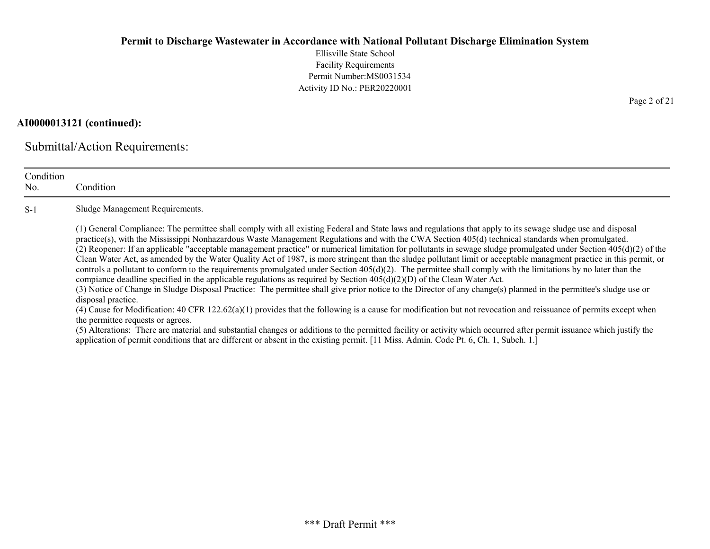Ellisville State School Facility Requirements Permit Number:MS0031534 Activity ID No.: PER20220001

# AI0000013121 (continued):

Submittal/Action Requirements:

| Condition<br>No. | Condition                                                                                                                                                                                                                                                                                                                                                                                                                                                                                                                                                                                                                                                                                                                                                                                                                                                                                                                                                                                                                                                                                                                                                                                                                                                                                                                                                                                                                                                                                                                                                                                                                                                                             |
|------------------|---------------------------------------------------------------------------------------------------------------------------------------------------------------------------------------------------------------------------------------------------------------------------------------------------------------------------------------------------------------------------------------------------------------------------------------------------------------------------------------------------------------------------------------------------------------------------------------------------------------------------------------------------------------------------------------------------------------------------------------------------------------------------------------------------------------------------------------------------------------------------------------------------------------------------------------------------------------------------------------------------------------------------------------------------------------------------------------------------------------------------------------------------------------------------------------------------------------------------------------------------------------------------------------------------------------------------------------------------------------------------------------------------------------------------------------------------------------------------------------------------------------------------------------------------------------------------------------------------------------------------------------------------------------------------------------|
| $S-1$            | Sludge Management Requirements.                                                                                                                                                                                                                                                                                                                                                                                                                                                                                                                                                                                                                                                                                                                                                                                                                                                                                                                                                                                                                                                                                                                                                                                                                                                                                                                                                                                                                                                                                                                                                                                                                                                       |
|                  | (1) General Compliance: The permittee shall comply with all existing Federal and State laws and regulations that apply to its sewage sludge use and disposal<br>practice(s), with the Mississippi Nonhazardous Waste Management Regulations and with the CWA Section 405(d) technical standards when promulgated.<br>(2) Reopener: If an applicable "acceptable management practice" or numerical limitation for pollutants in sewage sludge promulgated under Section $405(d)(2)$ of the<br>Clean Water Act, as amended by the Water Quality Act of 1987, is more stringent than the sludge pollutant limit or acceptable managment practice in this permit, or<br>controls a pollutant to conform to the requirements promulgated under Section $405(d)(2)$ . The permittee shall comply with the limitations by no later than the<br>compiance deadline specified in the applicable regulations as required by Section $405(d)(2)(D)$ of the Clean Water Act.<br>(3) Notice of Change in Sludge Disposal Practice: The permittee shall give prior notice to the Director of any change(s) planned in the permittee's sludge use or<br>disposal practice.<br>(4) Cause for Modification: 40 CFR 122.62(a)(1) provides that the following is a cause for modification but not revocation and reissuance of permits except when<br>the permittee requests or agrees.<br>(5) Alterations: There are material and substantial changes or additions to the permitted facility or activity which occurred after permit issuance which justify the<br>application of permit conditions that are different or absent in the existing permit. [11 Miss. Admin. Code Pt. 6, Ch. 1, Subch. 1.] |

Page 2 of 21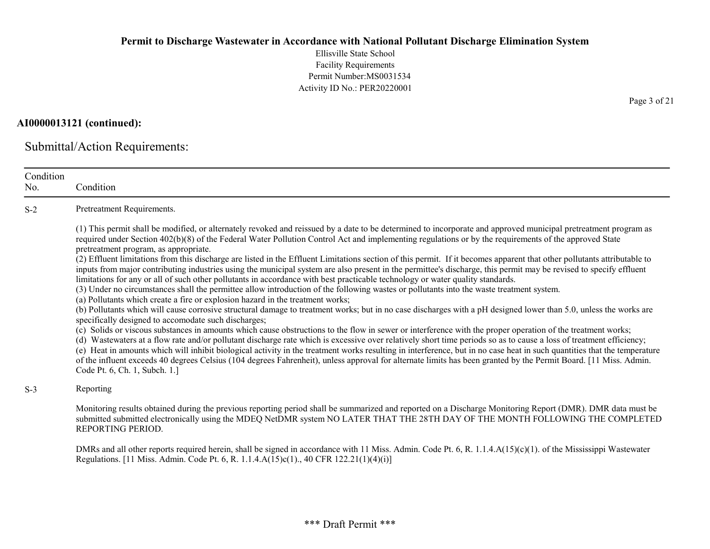Ellisville State School Facility Requirements Permit Number:MS0031534 Activity ID No.: PER20220001

# AI0000013121 (continued):

Submittal/Action Requirements:

| Condition<br>No. | Condition                                                                                                                                                                                                                                                                                                                                                                                                                                                                                                                                                                                                                                                                                                                                                                                                                                                                                                                                                                                                                                                                                                                                                                                                                                                                                                                                                                                                                                                                                                                                                                                                                                                                                                                                                                                                                                                                                                                                                                                                                               |
|------------------|-----------------------------------------------------------------------------------------------------------------------------------------------------------------------------------------------------------------------------------------------------------------------------------------------------------------------------------------------------------------------------------------------------------------------------------------------------------------------------------------------------------------------------------------------------------------------------------------------------------------------------------------------------------------------------------------------------------------------------------------------------------------------------------------------------------------------------------------------------------------------------------------------------------------------------------------------------------------------------------------------------------------------------------------------------------------------------------------------------------------------------------------------------------------------------------------------------------------------------------------------------------------------------------------------------------------------------------------------------------------------------------------------------------------------------------------------------------------------------------------------------------------------------------------------------------------------------------------------------------------------------------------------------------------------------------------------------------------------------------------------------------------------------------------------------------------------------------------------------------------------------------------------------------------------------------------------------------------------------------------------------------------------------------------|
| $S-2$            | Pretreatment Requirements.                                                                                                                                                                                                                                                                                                                                                                                                                                                                                                                                                                                                                                                                                                                                                                                                                                                                                                                                                                                                                                                                                                                                                                                                                                                                                                                                                                                                                                                                                                                                                                                                                                                                                                                                                                                                                                                                                                                                                                                                              |
|                  | (1) This permit shall be modified, or alternately revoked and reissued by a date to be determined to incorporate and approved municipal pretreatment program as<br>required under Section 402(b)(8) of the Federal Water Pollution Control Act and implementing regulations or by the requirements of the approved State<br>pretreatment program, as appropriate.<br>(2) Effluent limitations from this discharge are listed in the Effluent Limitations section of this permit. If it becomes apparent that other pollutants attributable to<br>inputs from major contributing industries using the municipal system are also present in the permittee's discharge, this permit may be revised to specify effluent<br>limitations for any or all of such other pollutants in accordance with best practicable technology or water quality standards.<br>(3) Under no circumstances shall the permittee allow introduction of the following wastes or pollutants into the waste treatment system.<br>(a) Pollutants which create a fire or explosion hazard in the treatment works;<br>(b) Pollutants which will cause corrosive structural damage to treatment works; but in no case discharges with a pH designed lower than 5.0, unless the works are<br>specifically designed to accomodate such discharges;<br>(c) Solids or viscous substances in amounts which cause obstructions to the flow in sewer or interference with the proper operation of the treatment works;<br>(d) Wastewaters at a flow rate and/or pollutant discharge rate which is excessive over relatively short time periods so as to cause a loss of treatment efficiency;<br>(e) Heat in amounts which will inhibit biological activity in the treatment works resulting in interference, but in no case heat in such quantities that the temperature<br>of the influent exceeds 40 degrees Celsius (104 degrees Fahrenheit), unless approval for alternate limits has been granted by the Permit Board. [11 Miss. Admin.<br>Code Pt. 6, Ch. 1, Subch. 1.] |
| $S-3$            | Reporting                                                                                                                                                                                                                                                                                                                                                                                                                                                                                                                                                                                                                                                                                                                                                                                                                                                                                                                                                                                                                                                                                                                                                                                                                                                                                                                                                                                                                                                                                                                                                                                                                                                                                                                                                                                                                                                                                                                                                                                                                               |
|                  | Monitoring results obtained during the previous reporting period shall be summarized and reported on a Discharge Monitoring Report (DMR). DMR data must be<br>submitted submitted electronically using the MDEQ NetDMR system NO LATER THAT THE 28TH DAY OF THE MONTH FOLLOWING THE COMPLETED<br>REPORTING PERIOD.                                                                                                                                                                                                                                                                                                                                                                                                                                                                                                                                                                                                                                                                                                                                                                                                                                                                                                                                                                                                                                                                                                                                                                                                                                                                                                                                                                                                                                                                                                                                                                                                                                                                                                                      |
|                  | DMRs and all other reports required herein, shall be signed in accordance with 11 Miss. Admin. Code Pt. 6, R. 1.1.4. $A(15)(c)(1)$ . of the Mississippi Wastewater<br>Regulations. [11 Miss. Admin. Code Pt. 6, R. 1.1.4.A(15)c(1)., 40 CFR 122.21(1)(4)(i)]                                                                                                                                                                                                                                                                                                                                                                                                                                                                                                                                                                                                                                                                                                                                                                                                                                                                                                                                                                                                                                                                                                                                                                                                                                                                                                                                                                                                                                                                                                                                                                                                                                                                                                                                                                            |

Page 3 of 21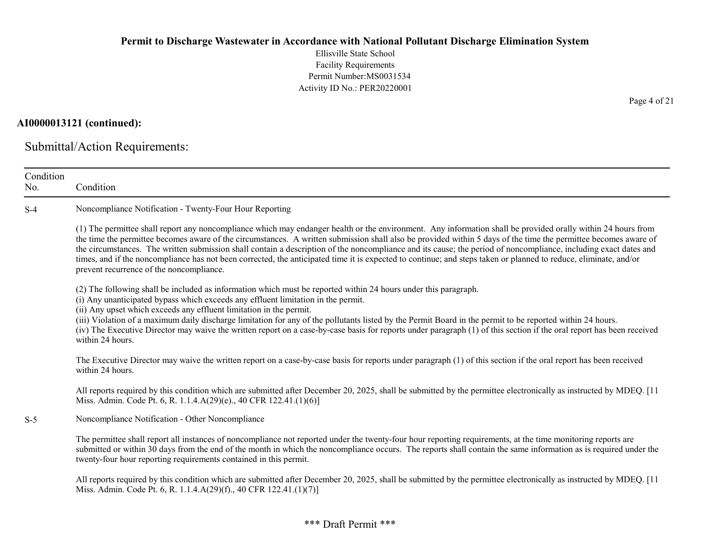Ellisville State School Facility Requirements Permit Number:MS0031534 Activity ID No.: PER20220001

### AI0000013121 (continued):

Submittal/Action Requirements:

| Condition<br>No. | Condition                                                                                                                                                                                                                                                                                                                                                                                                                                                                                                                                                                                                                                                                                                           |
|------------------|---------------------------------------------------------------------------------------------------------------------------------------------------------------------------------------------------------------------------------------------------------------------------------------------------------------------------------------------------------------------------------------------------------------------------------------------------------------------------------------------------------------------------------------------------------------------------------------------------------------------------------------------------------------------------------------------------------------------|
| $S-4$            | Noncompliance Notification - Twenty-Four Hour Reporting                                                                                                                                                                                                                                                                                                                                                                                                                                                                                                                                                                                                                                                             |
|                  | (1) The permittee shall report any noncompliance which may endanger health or the environment. Any information shall be provided orally within 24 hours from<br>the time the permittee becomes aware of the circumstances. A written submission shall also be provided within 5 days of the time the permittee becomes aware of<br>the circumstances. The written submission shall contain a description of the noncompliance and its cause; the period of noncompliance, including exact dates and<br>times, and if the noncompliance has not been corrected, the anticipated time it is expected to continue; and steps taken or planned to reduce, eliminate, and/or<br>prevent recurrence of the noncompliance. |
|                  | (2) The following shall be included as information which must be reported within 24 hours under this paragraph.<br>(i) Any unanticipated bypass which exceeds any effluent limitation in the permit.<br>(ii) Any upset which exceeds any effluent limitation in the permit.<br>(iii) Violation of a maximum daily discharge limitation for any of the pollutants listed by the Permit Board in the permit to be reported within 24 hours.<br>(iv) The Executive Director may waive the written report on a case-by-case basis for reports under paragraph (1) of this section if the oral report has been received<br>within 24 hours.                                                                              |
|                  | The Executive Director may waive the written report on a case-by-case basis for reports under paragraph (1) of this section if the oral report has been received<br>within 24 hours.                                                                                                                                                                                                                                                                                                                                                                                                                                                                                                                                |
|                  | All reports required by this condition which are submitted after December 20, 2025, shall be submitted by the permittee electronically as instructed by MDEQ. [11<br>Miss. Admin. Code Pt. 6, R. 1.1.4.A(29)(e)., 40 CFR 122.41.(1)(6)]                                                                                                                                                                                                                                                                                                                                                                                                                                                                             |
| $S-5$            | Noncompliance Notification - Other Noncompliance                                                                                                                                                                                                                                                                                                                                                                                                                                                                                                                                                                                                                                                                    |
|                  | The permittee shall report all instances of noncompliance not reported under the twenty-four hour reporting requirements, at the time monitoring reports are<br>submitted or within 30 days from the end of the month in which the noncompliance occurs. The reports shall contain the same information as is required under the<br>twenty-four hour reporting requirements contained in this permit.                                                                                                                                                                                                                                                                                                               |
|                  | All reports required by this condition which are submitted after December 20, 2025, shall be submitted by the permittee electronically as instructed by MDEQ. [11]<br>Miss. Admin. Code Pt. 6, R. 1.1.4.A(29)(f)., 40 CFR 122.41.(1)(7)]                                                                                                                                                                                                                                                                                                                                                                                                                                                                            |

Page 4 of 21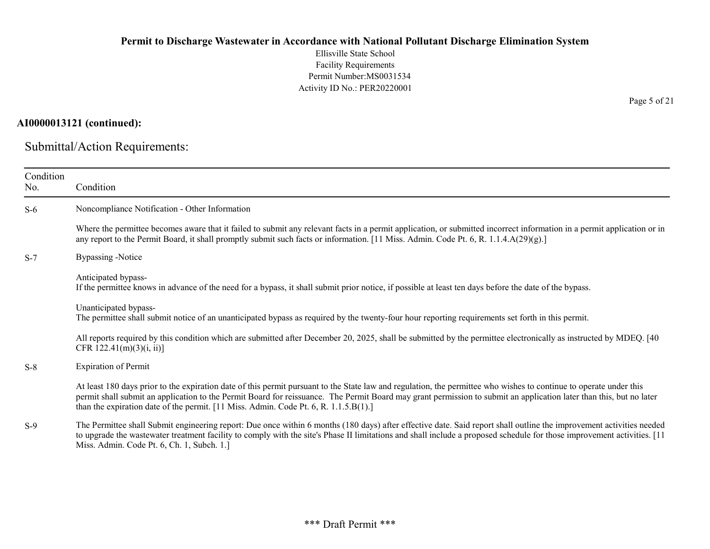Ellisville State School Facility Requirements Permit Number:MS0031534 Activity ID No.: PER20220001

# AI0000013121 (continued):

Submittal/Action Requirements:

| Condition<br>No. | Condition                                                                                                                                                                                                                                                                                                                                                                                                                         |
|------------------|-----------------------------------------------------------------------------------------------------------------------------------------------------------------------------------------------------------------------------------------------------------------------------------------------------------------------------------------------------------------------------------------------------------------------------------|
| $S-6$            | Noncompliance Notification - Other Information                                                                                                                                                                                                                                                                                                                                                                                    |
|                  | Where the permittee becomes aware that it failed to submit any relevant facts in a permit application, or submitted incorrect information in a permit application or in<br>any report to the Permit Board, it shall promptly submit such facts or information. [11 Miss. Admin. Code Pt. 6, R. 1.1.4.A(29)(g).]                                                                                                                   |
| $S-7$            | <b>Bypassing -Notice</b>                                                                                                                                                                                                                                                                                                                                                                                                          |
|                  | Anticipated bypass-<br>If the permittee knows in advance of the need for a bypass, it shall submit prior notice, if possible at least ten days before the date of the bypass.                                                                                                                                                                                                                                                     |
|                  | Unanticipated bypass-<br>The permittee shall submit notice of an unanticipated bypass as required by the twenty-four hour reporting requirements set forth in this permit.                                                                                                                                                                                                                                                        |
|                  | All reports required by this condition which are submitted after December 20, 2025, shall be submitted by the permittee electronically as instructed by MDEQ. [40]<br>CFR $122.41(m)(3)(i, ii)$ ]                                                                                                                                                                                                                                 |
| $S-8$            | <b>Expiration of Permit</b>                                                                                                                                                                                                                                                                                                                                                                                                       |
|                  | At least 180 days prior to the expiration date of this permit pursuant to the State law and regulation, the permittee who wishes to continue to operate under this<br>permit shall submit an application to the Permit Board for reissuance. The Permit Board may grant permission to submit an application later than this, but no later<br>than the expiration date of the permit. [11 Miss. Admin. Code Pt. 6, R. 1.1.5.B(1).] |
| $S-9$            | The Permittee shall Submit engineering report: Due once within 6 months (180 days) after effective date. Said report shall outline the improvement activities needed<br>to upgrade the wastewater treatment facility to comply with the site's Phase II limitations and shall include a proposed schedule for those improvement activities. [11]<br>Miss. Admin. Code Pt. 6, Ch. 1, Subch. 1.]                                    |

Page 5 of 21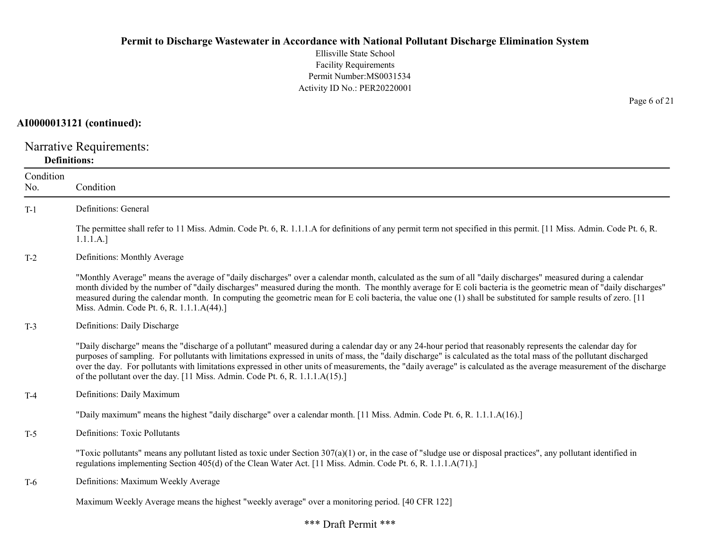Ellisville State School Facility Requirements Permit Number:MS0031534 Activity ID No.: PER20220001

# AI0000013121 (continued):

Narrative Requirements: Definitions:

| Condition<br>No. | Condition                                                                                                                                                                                                                                                                                                                                                                                                                                                                                                                                                                                   |
|------------------|---------------------------------------------------------------------------------------------------------------------------------------------------------------------------------------------------------------------------------------------------------------------------------------------------------------------------------------------------------------------------------------------------------------------------------------------------------------------------------------------------------------------------------------------------------------------------------------------|
| $T-1$            | Definitions: General                                                                                                                                                                                                                                                                                                                                                                                                                                                                                                                                                                        |
|                  | The permittee shall refer to 11 Miss. Admin. Code Pt. 6, R. 1.1.1.A for definitions of any permit term not specified in this permit. [11 Miss. Admin. Code Pt. 6, R.<br>1.1.1.A.]                                                                                                                                                                                                                                                                                                                                                                                                           |
| $T-2$            | Definitions: Monthly Average                                                                                                                                                                                                                                                                                                                                                                                                                                                                                                                                                                |
|                  | "Monthly Average" means the average of "daily discharges" over a calendar month, calculated as the sum of all "daily discharges" measured during a calendar<br>month divided by the number of "daily discharges" measured during the month. The monthly average for E coli bacteria is the geometric mean of "daily discharges"<br>measured during the calendar month. In computing the geometric mean for E coli bacteria, the value one (1) shall be substituted for sample results of zero. [11]<br>Miss. Admin. Code Pt. 6, R. 1.1.1.A(44).]                                            |
| $T-3$            | Definitions: Daily Discharge                                                                                                                                                                                                                                                                                                                                                                                                                                                                                                                                                                |
|                  | "Daily discharge" means the "discharge of a pollutant" measured during a calendar day or any 24-hour period that reasonably represents the calendar day for<br>purposes of sampling. For pollutants with limitations expressed in units of mass, the "daily discharge" is calculated as the total mass of the pollutant discharged<br>over the day. For pollutants with limitations expressed in other units of measurements, the "daily average" is calculated as the average measurement of the discharge<br>of the pollutant over the day. [11 Miss. Admin. Code Pt. 6, R. 1.1.1.A(15).] |
| $T-4$            | Definitions: Daily Maximum                                                                                                                                                                                                                                                                                                                                                                                                                                                                                                                                                                  |
|                  | "Daily maximum" means the highest "daily discharge" over a calendar month. [11 Miss. Admin. Code Pt. 6, R. 1.1.1.A(16).]                                                                                                                                                                                                                                                                                                                                                                                                                                                                    |
| $T-5$            | <b>Definitions: Toxic Pollutants</b>                                                                                                                                                                                                                                                                                                                                                                                                                                                                                                                                                        |
|                  | "Toxic pollutants" means any pollutant listed as toxic under Section $307(a)(1)$ or, in the case of "sludge use or disposal practices", any pollutant identified in<br>regulations implementing Section 405(d) of the Clean Water Act. [11 Miss. Admin. Code Pt. 6, R. 1.1.1.A(71).]                                                                                                                                                                                                                                                                                                        |
| T-6              | Definitions: Maximum Weekly Average                                                                                                                                                                                                                                                                                                                                                                                                                                                                                                                                                         |
|                  | Maximum Weekly Average means the highest "weekly average" over a monitoring period. [40 CFR 122]                                                                                                                                                                                                                                                                                                                                                                                                                                                                                            |

Page 6 of 21

#### \*\*\* Draft Permit \*\*\*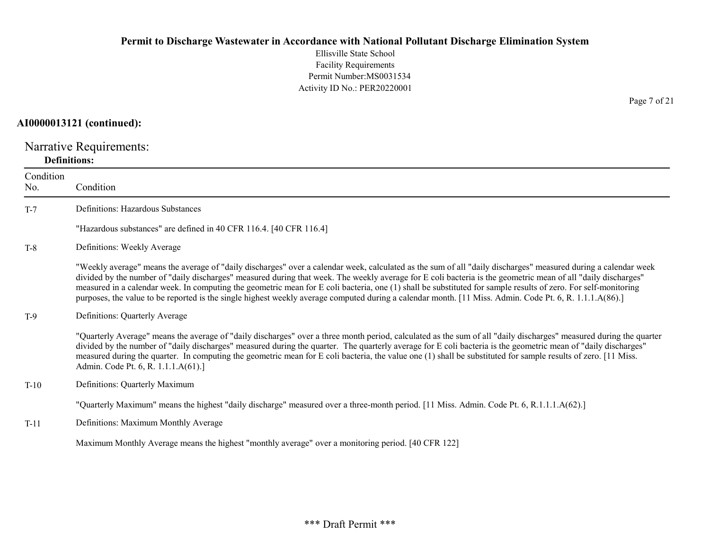Ellisville State School Facility Requirements Permit Number:MS0031534 Activity ID No.: PER20220001

# AI0000013121 (continued):

Narrative Requirements: Definitions:

| Condition<br>No. | Condition                                                                                                                                                                                                                                                                                                                                                                                                                                                                                                                                                                                                                                                    |
|------------------|--------------------------------------------------------------------------------------------------------------------------------------------------------------------------------------------------------------------------------------------------------------------------------------------------------------------------------------------------------------------------------------------------------------------------------------------------------------------------------------------------------------------------------------------------------------------------------------------------------------------------------------------------------------|
| $T-7$            | Definitions: Hazardous Substances                                                                                                                                                                                                                                                                                                                                                                                                                                                                                                                                                                                                                            |
|                  | "Hazardous substances" are defined in 40 CFR 116.4. [40 CFR 116.4]                                                                                                                                                                                                                                                                                                                                                                                                                                                                                                                                                                                           |
| $T-8$            | Definitions: Weekly Average                                                                                                                                                                                                                                                                                                                                                                                                                                                                                                                                                                                                                                  |
|                  | "Weekly average" means the average of "daily discharges" over a calendar week, calculated as the sum of all "daily discharges" measured during a calendar week<br>divided by the number of "daily discharges" measured during that week. The weekly average for E coli bacteria is the geometric mean of all "daily discharges"<br>measured in a calendar week. In computing the geometric mean for E coli bacteria, one (1) shall be substituted for sample results of zero. For self-monitoring<br>purposes, the value to be reported is the single highest weekly average computed during a calendar month. [11 Miss. Admin. Code Pt. 6, R. 1.1.1.A(86).] |
| $T-9$            | Definitions: Quarterly Average                                                                                                                                                                                                                                                                                                                                                                                                                                                                                                                                                                                                                               |
|                  | "Quarterly Average" means the average of "daily discharges" over a three month period, calculated as the sum of all "daily discharges" measured during the quarter<br>divided by the number of "daily discharges" measured during the quarter. The quarterly average for E coli bacteria is the geometric mean of "daily discharges"<br>measured during the quarter. In computing the geometric mean for E coli bacteria, the value one (1) shall be substituted for sample results of zero. [11 Miss.<br>Admin. Code Pt. 6, R. 1.1.1.A(61).]                                                                                                                |
| $T-10$           | Definitions: Quarterly Maximum                                                                                                                                                                                                                                                                                                                                                                                                                                                                                                                                                                                                                               |
|                  | "Quarterly Maximum" means the highest "daily discharge" measured over a three-month period. [11 Miss. Admin. Code Pt. 6, R.1.1.1.A(62).]                                                                                                                                                                                                                                                                                                                                                                                                                                                                                                                     |
| $T-11$           | Definitions: Maximum Monthly Average                                                                                                                                                                                                                                                                                                                                                                                                                                                                                                                                                                                                                         |
|                  | Maximum Monthly Average means the highest "monthly average" over a monitoring period. [40 CFR 122]                                                                                                                                                                                                                                                                                                                                                                                                                                                                                                                                                           |

Page 7 of 21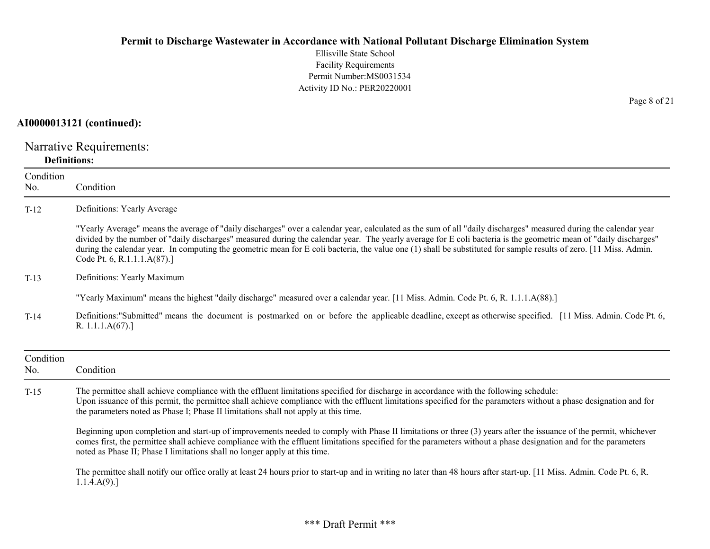Ellisville State School Facility Requirements Permit Number:MS0031534 Activity ID No.: PER20220001

# AI0000013121 (continued):

Narrative Requirements: Definitions:

| Condition<br>No. | Condition                                                                                                                                                                                                                                                                                                                                                                                                                                                                                                                                  |
|------------------|--------------------------------------------------------------------------------------------------------------------------------------------------------------------------------------------------------------------------------------------------------------------------------------------------------------------------------------------------------------------------------------------------------------------------------------------------------------------------------------------------------------------------------------------|
| $T-12$           | Definitions: Yearly Average                                                                                                                                                                                                                                                                                                                                                                                                                                                                                                                |
|                  | "Yearly Average" means the average of "daily discharges" over a calendar year, calculated as the sum of all "daily discharges" measured during the calendar year<br>divided by the number of "daily discharges" measured during the calendar year. The yearly average for E coli bacteria is the geometric mean of "daily discharges"<br>during the calendar year. In computing the geometric mean for E coli bacteria, the value one (1) shall be substituted for sample results of zero. [11 Miss. Admin.<br>Code Pt. 6, R.1.1.1.A(87).] |
| $T-13$           | Definitions: Yearly Maximum                                                                                                                                                                                                                                                                                                                                                                                                                                                                                                                |
|                  | "Yearly Maximum" means the highest "daily discharge" measured over a calendar year. [11 Miss. Admin. Code Pt. 6, R. 1.1.1.A(88).]                                                                                                                                                                                                                                                                                                                                                                                                          |
| $T-14$           | Definitions:"Submitted" means the document is postmarked on or before the applicable deadline, except as otherwise specified. [11 Miss. Admin. Code Pt. 6,<br>R. $1.1.1.A(67).$                                                                                                                                                                                                                                                                                                                                                            |
| Condition<br>No. | Condition                                                                                                                                                                                                                                                                                                                                                                                                                                                                                                                                  |
| $T-15$           | The permittee shall achieve compliance with the effluent limitations specified for discharge in accordance with the following schedule:<br>Upon issuance of this permit, the permittee shall achieve compliance with the effluent limitations specified for the parameters without a phase designation and for<br>the parameters noted as Phase I; Phase II limitations shall not apply at this time.                                                                                                                                      |
|                  | Beginning upon completion and start-up of improvements needed to comply with Phase II limitations or three (3) years after the issuance of the permit, whichever<br>comes first, the permittee shall achieve compliance with the effluent limitations specified for the parameters without a phase designation and for the parameters<br>noted as Phase II; Phase I limitations shall no longer apply at this time.                                                                                                                        |
|                  | The permittee shall notify our office orally at least 24 hours prior to start-up and in writing no later than 48 hours after start-up. [11 Miss. Admin. Code Pt. 6, R.<br>1.1.4.A(9).                                                                                                                                                                                                                                                                                                                                                      |

Page 8 of 21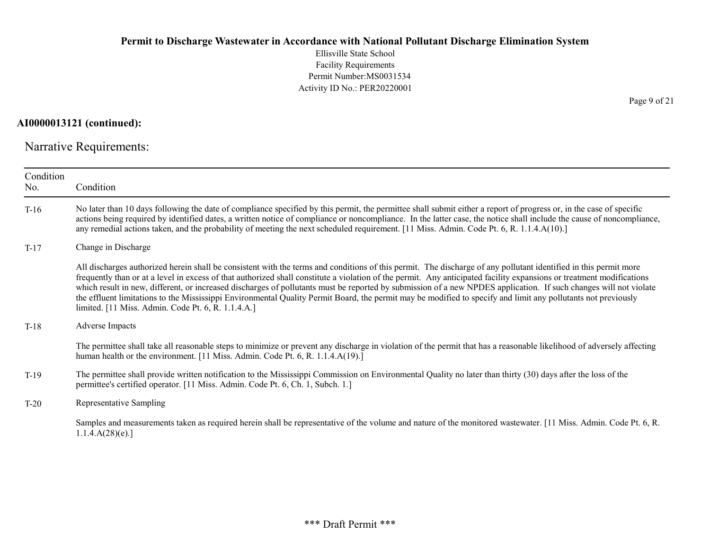Ellisville State School Facility Requirements Permit Number:MS0031534 Activity ID No.: PER20220001

AI0000013121 (continued):

Narrative Requirements:

| Condition<br>No. | Condition                                                                                                                                                                                                                                                                                                                                                                                                                                                                                                                                                                                                                                                                                                                             |
|------------------|---------------------------------------------------------------------------------------------------------------------------------------------------------------------------------------------------------------------------------------------------------------------------------------------------------------------------------------------------------------------------------------------------------------------------------------------------------------------------------------------------------------------------------------------------------------------------------------------------------------------------------------------------------------------------------------------------------------------------------------|
| $T-16$           | No later than 10 days following the date of compliance specified by this permit, the permittee shall submit either a report of progress or, in the case of specific<br>actions being required by identified dates, a written notice of compliance or noncompliance. In the latter case, the notice shall include the cause of noncompliance,<br>any remedial actions taken, and the probability of meeting the next scheduled requirement. [11 Miss. Admin. Code Pt. 6, R. 1.1.4.A(10).]                                                                                                                                                                                                                                              |
| $T-17$           | Change in Discharge                                                                                                                                                                                                                                                                                                                                                                                                                                                                                                                                                                                                                                                                                                                   |
|                  | All discharges authorized herein shall be consistent with the terms and conditions of this permit. The discharge of any pollutant identified in this permit more<br>frequently than or at a level in excess of that authorized shall constitute a violation of the permit. Any anticipated facility expansions or treatment modifications<br>which result in new, different, or increased discharges of pollutants must be reported by submission of a new NPDES application. If such changes will not violate<br>the effluent limitations to the Mississippi Environmental Quality Permit Board, the permit may be modified to specify and limit any pollutants not previously<br>limited. [11 Miss. Admin. Code Pt. 6, R. 1.1.4.A.] |
| $T-18$           | Adverse Impacts                                                                                                                                                                                                                                                                                                                                                                                                                                                                                                                                                                                                                                                                                                                       |
|                  | The permittee shall take all reasonable steps to minimize or prevent any discharge in violation of the permit that has a reasonable likelihood of adversely affecting<br>human health or the environment. [11 Miss. Admin. Code Pt. 6, R. 1.1.4.A(19).]                                                                                                                                                                                                                                                                                                                                                                                                                                                                               |
| $T-19$           | The permittee shall provide written notification to the Mississippi Commission on Environmental Quality no later than thirty (30) days after the loss of the<br>permittee's certified operator. [11 Miss. Admin. Code Pt. 6, Ch. 1, Subch. 1.]                                                                                                                                                                                                                                                                                                                                                                                                                                                                                        |
| $T-20$           | Representative Sampling                                                                                                                                                                                                                                                                                                                                                                                                                                                                                                                                                                                                                                                                                                               |
|                  | Samples and measurements taken as required herein shall be representative of the volume and nature of the monitored wastewater. [11 Miss. Admin. Code Pt. 6, R.<br>1.1.4.A(28)(e).                                                                                                                                                                                                                                                                                                                                                                                                                                                                                                                                                    |

Page 9 of 21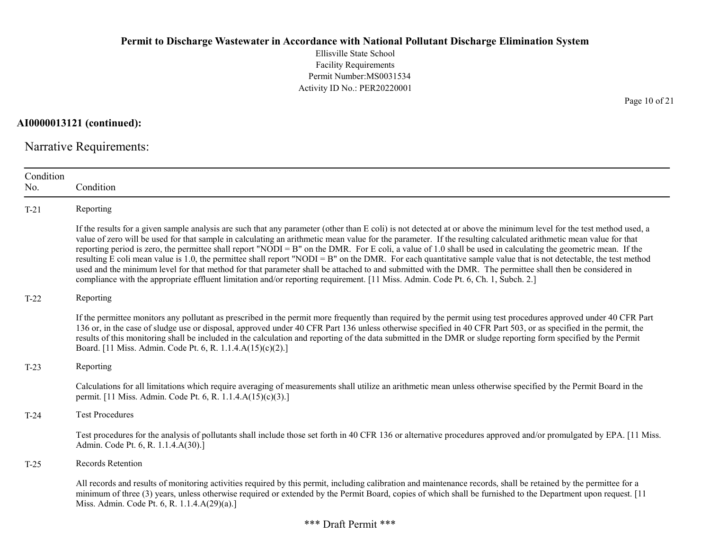Ellisville State School Facility Requirements Permit Number:MS0031534 Activity ID No.: PER20220001

AI0000013121 (continued):

Narrative Requirements:

| Condition<br>No. | Condition                                                                                                                                                                                                                                                                                                                                                                                                                                                                                                                                                                                                                                                                                                                                                                                                                                                                                                                                                                      |
|------------------|--------------------------------------------------------------------------------------------------------------------------------------------------------------------------------------------------------------------------------------------------------------------------------------------------------------------------------------------------------------------------------------------------------------------------------------------------------------------------------------------------------------------------------------------------------------------------------------------------------------------------------------------------------------------------------------------------------------------------------------------------------------------------------------------------------------------------------------------------------------------------------------------------------------------------------------------------------------------------------|
| $T-21$           | Reporting                                                                                                                                                                                                                                                                                                                                                                                                                                                                                                                                                                                                                                                                                                                                                                                                                                                                                                                                                                      |
|                  | If the results for a given sample analysis are such that any parameter (other than E coli) is not detected at or above the minimum level for the test method used, a<br>value of zero will be used for that sample in calculating an arithmetic mean value for the parameter. If the resulting calculated arithmetic mean value for that<br>reporting period is zero, the permittee shall report "NODI = B" on the DMR. For E coli, a value of 1.0 shall be used in calculating the geometric mean. If the<br>resulting E coli mean value is 1.0, the permittee shall report "NODI = B" on the DMR. For each quantitative sample value that is not detectable, the test method<br>used and the minimum level for that method for that parameter shall be attached to and submitted with the DMR. The permittee shall then be considered in<br>compliance with the appropriate effluent limitation and/or reporting requirement. [11 Miss. Admin. Code Pt. 6, Ch. 1, Subch. 2.] |
| $T-22$           | Reporting                                                                                                                                                                                                                                                                                                                                                                                                                                                                                                                                                                                                                                                                                                                                                                                                                                                                                                                                                                      |
|                  | If the permittee monitors any pollutant as prescribed in the permit more frequently than required by the permit using test procedures approved under 40 CFR Part<br>136 or, in the case of sludge use or disposal, approved under 40 CFR Part 136 unless otherwise specified in 40 CFR Part 503, or as specified in the permit, the<br>results of this monitoring shall be included in the calculation and reporting of the data submitted in the DMR or sludge reporting form specified by the Permit<br>Board. [11 Miss. Admin. Code Pt. 6, R. 1.1.4.A(15)(c)(2).]                                                                                                                                                                                                                                                                                                                                                                                                           |
| $T-23$           | Reporting                                                                                                                                                                                                                                                                                                                                                                                                                                                                                                                                                                                                                                                                                                                                                                                                                                                                                                                                                                      |
|                  | Calculations for all limitations which require averaging of measurements shall utilize an arithmetic mean unless otherwise specified by the Permit Board in the<br>permit. [11 Miss. Admin. Code Pt. 6, R. 1.1.4.A(15)(c)(3).]                                                                                                                                                                                                                                                                                                                                                                                                                                                                                                                                                                                                                                                                                                                                                 |
| $T-24$           | <b>Test Procedures</b>                                                                                                                                                                                                                                                                                                                                                                                                                                                                                                                                                                                                                                                                                                                                                                                                                                                                                                                                                         |
|                  | Test procedures for the analysis of pollutants shall include those set forth in 40 CFR 136 or alternative procedures approved and/or promulgated by EPA. [11 Miss.]<br>Admin. Code Pt. 6, R. 1.1.4.A(30).]                                                                                                                                                                                                                                                                                                                                                                                                                                                                                                                                                                                                                                                                                                                                                                     |
| $T-25$           | Records Retention                                                                                                                                                                                                                                                                                                                                                                                                                                                                                                                                                                                                                                                                                                                                                                                                                                                                                                                                                              |
|                  | All records and results of monitoring activities required by this permit, including calibration and maintenance records, shall be retained by the permittee for a<br>minimum of three (3) years, unless otherwise required or extended by the Permit Board, copies of which shall be furnished to the Department upon request. [11<br>Miss. Admin. Code Pt. 6, R. 1.1.4.A(29)(a).]                                                                                                                                                                                                                                                                                                                                                                                                                                                                                                                                                                                             |

Page 10 of 21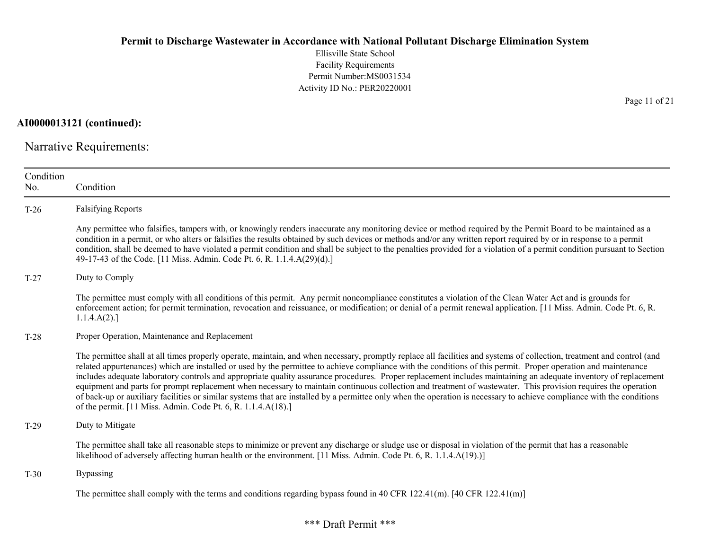Ellisville State School Facility Requirements Permit Number:MS0031534 Activity ID No.: PER20220001

AI0000013121 (continued):

Narrative Requirements:

| Condition<br>No. | Condition                                                                                                                                                                                                                                                                                                                                                                                                                                                                                                                                                                                                                                                                                                                                                                                                                                                                                                                |
|------------------|--------------------------------------------------------------------------------------------------------------------------------------------------------------------------------------------------------------------------------------------------------------------------------------------------------------------------------------------------------------------------------------------------------------------------------------------------------------------------------------------------------------------------------------------------------------------------------------------------------------------------------------------------------------------------------------------------------------------------------------------------------------------------------------------------------------------------------------------------------------------------------------------------------------------------|
| $T-26$           | <b>Falsifying Reports</b>                                                                                                                                                                                                                                                                                                                                                                                                                                                                                                                                                                                                                                                                                                                                                                                                                                                                                                |
|                  | Any permittee who falsifies, tampers with, or knowingly renders inaccurate any monitoring device or method required by the Permit Board to be maintained as a<br>condition in a permit, or who alters or falsifies the results obtained by such devices or methods and/or any written report required by or in response to a permit<br>condition, shall be deemed to have violated a permit condition and shall be subject to the penalties provided for a violation of a permit condition pursuant to Section<br>49-17-43 of the Code. [11 Miss. Admin. Code Pt. 6, R. 1.1.4.A(29)(d).]                                                                                                                                                                                                                                                                                                                                 |
| $T-27$           | Duty to Comply                                                                                                                                                                                                                                                                                                                                                                                                                                                                                                                                                                                                                                                                                                                                                                                                                                                                                                           |
|                  | The permittee must comply with all conditions of this permit. Any permit noncompliance constitutes a violation of the Clean Water Act and is grounds for<br>enforcement action; for permit termination, revocation and reissuance, or modification; or denial of a permit renewal application. [11 Miss. Admin. Code Pt. 6, R.<br>1.1.4.A(2).                                                                                                                                                                                                                                                                                                                                                                                                                                                                                                                                                                            |
| $T-28$           | Proper Operation, Maintenance and Replacement                                                                                                                                                                                                                                                                                                                                                                                                                                                                                                                                                                                                                                                                                                                                                                                                                                                                            |
|                  | The permittee shall at all times properly operate, maintain, and when necessary, promptly replace all facilities and systems of collection, treatment and control (and<br>related appurtenances) which are installed or used by the permittee to achieve compliance with the conditions of this permit. Proper operation and maintenance<br>includes adequate laboratory controls and appropriate quality assurance procedures. Proper replacement includes maintaining an adequate inventory of replacement<br>equipment and parts for prompt replacement when necessary to maintain continuous collection and treatment of wastewater. This provision requires the operation<br>of back-up or auxiliary facilities or similar systems that are installed by a permittee only when the operation is necessary to achieve compliance with the conditions<br>of the permit. [11 Miss. Admin. Code Pt. 6, R. 1.1.4.A(18).] |
| $T-29$           | Duty to Mitigate                                                                                                                                                                                                                                                                                                                                                                                                                                                                                                                                                                                                                                                                                                                                                                                                                                                                                                         |
|                  | The permittee shall take all reasonable steps to minimize or prevent any discharge or sludge use or disposal in violation of the permit that has a reasonable<br>likelihood of adversely affecting human health or the environment. [11 Miss. Admin. Code Pt. 6, R. 1.1.4.A(19).)]                                                                                                                                                                                                                                                                                                                                                                                                                                                                                                                                                                                                                                       |
| $T-30$           | <b>Bypassing</b>                                                                                                                                                                                                                                                                                                                                                                                                                                                                                                                                                                                                                                                                                                                                                                                                                                                                                                         |
|                  | The permittee shall comply with the terms and conditions regarding bypass found in 40 CFR 122.41(m). $[40 \text{ CFR } 122.41 \text{ (m)}]$                                                                                                                                                                                                                                                                                                                                                                                                                                                                                                                                                                                                                                                                                                                                                                              |

Page 11 of 21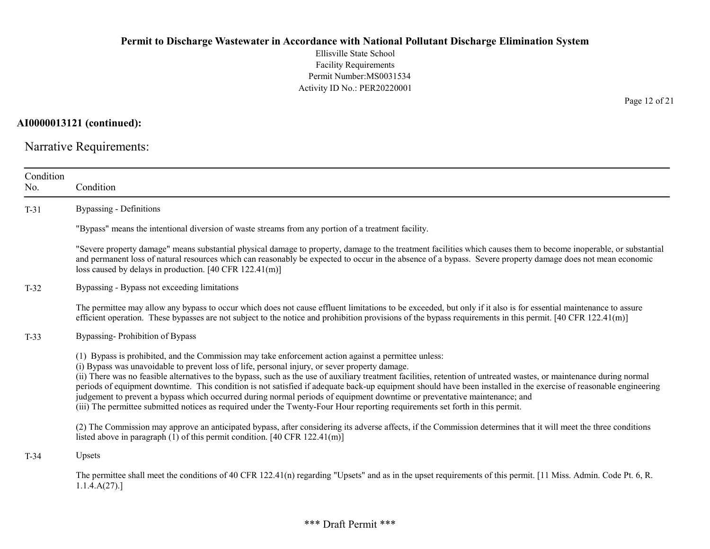Ellisville State School Facility Requirements Permit Number:MS0031534 Activity ID No.: PER20220001

AI0000013121 (continued):

Narrative Requirements:

| Condition<br>No. | Condition                                                                                                                                                                                                                                                                                                                                                                                                                                                                                                                                                                                                                                                                                                                                                                                                          |
|------------------|--------------------------------------------------------------------------------------------------------------------------------------------------------------------------------------------------------------------------------------------------------------------------------------------------------------------------------------------------------------------------------------------------------------------------------------------------------------------------------------------------------------------------------------------------------------------------------------------------------------------------------------------------------------------------------------------------------------------------------------------------------------------------------------------------------------------|
| $T-31$           | <b>Bypassing - Definitions</b>                                                                                                                                                                                                                                                                                                                                                                                                                                                                                                                                                                                                                                                                                                                                                                                     |
|                  | "Bypass" means the intentional diversion of waste streams from any portion of a treatment facility.                                                                                                                                                                                                                                                                                                                                                                                                                                                                                                                                                                                                                                                                                                                |
|                  | "Severe property damage" means substantial physical damage to property, damage to the treatment facilities which causes them to become inoperable, or substantial<br>and permanent loss of natural resources which can reasonably be expected to occur in the absence of a bypass. Severe property damage does not mean economic<br>loss caused by delays in production. [40 CFR $122.41(m)$ ]                                                                                                                                                                                                                                                                                                                                                                                                                     |
| $T-32$           | Bypassing - Bypass not exceeding limitations                                                                                                                                                                                                                                                                                                                                                                                                                                                                                                                                                                                                                                                                                                                                                                       |
|                  | The permittee may allow any bypass to occur which does not cause effluent limitations to be exceeded, but only if it also is for essential maintenance to assure<br>efficient operation. These bypasses are not subject to the notice and prohibition provisions of the bypass requirements in this permit. $[40 \text{ CFR } 122.41 \text{ (m)}]$                                                                                                                                                                                                                                                                                                                                                                                                                                                                 |
| $T-33$           | Bypassing-Prohibition of Bypass                                                                                                                                                                                                                                                                                                                                                                                                                                                                                                                                                                                                                                                                                                                                                                                    |
|                  | (1) Bypass is prohibited, and the Commission may take enforcement action against a permittee unless:<br>(i) Bypass was unavoidable to prevent loss of life, personal injury, or sever property damage.<br>(ii) There was no feasible alternatives to the bypass, such as the use of auxiliary treatment facilities, retention of untreated wastes, or maintenance during normal<br>periods of equipment downtime. This condition is not satisfied if adequate back-up equipment should have been installed in the exercise of reasonable engineering<br>judgement to prevent a bypass which occurred during normal periods of equipment downtime or preventative maintenance; and<br>(iii) The permittee submitted notices as required under the Twenty-Four Hour reporting requirements set forth in this permit. |
|                  | (2) The Commission may approve an anticipated bypass, after considering its adverse affects, if the Commission determines that it will meet the three conditions<br>listed above in paragraph $(1)$ of this permit condition. [40 CFR 122.41(m)]                                                                                                                                                                                                                                                                                                                                                                                                                                                                                                                                                                   |
| $T-34$           | Upsets                                                                                                                                                                                                                                                                                                                                                                                                                                                                                                                                                                                                                                                                                                                                                                                                             |
|                  | The permittee shall meet the conditions of 40 CFR 122.41(n) regarding "Upsets" and as in the upset requirements of this permit. [11 Miss. Admin. Code Pt. 6, R.<br>1.1.4.A(27).                                                                                                                                                                                                                                                                                                                                                                                                                                                                                                                                                                                                                                    |

Page 12 of 21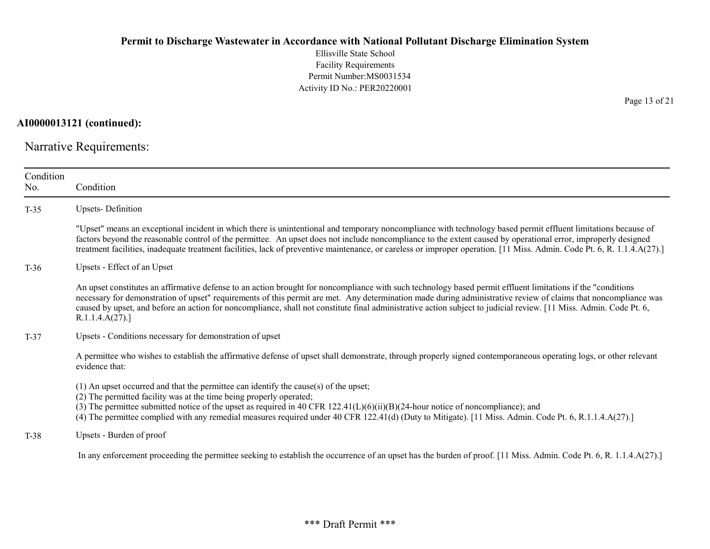Ellisville State School Facility Requirements Permit Number:MS0031534 Activity ID No.: PER20220001

AI0000013121 (continued):

Narrative Requirements:

| Condition<br>No. | Condition                                                                                                                                                                                                                                                                                                                                                                                                                                                                                                                |
|------------------|--------------------------------------------------------------------------------------------------------------------------------------------------------------------------------------------------------------------------------------------------------------------------------------------------------------------------------------------------------------------------------------------------------------------------------------------------------------------------------------------------------------------------|
| $T-35$           | <b>Upsets-Definition</b>                                                                                                                                                                                                                                                                                                                                                                                                                                                                                                 |
|                  | "Upset" means an exceptional incident in which there is unintentional and temporary noncompliance with technology based permit effluent limitations because of<br>factors beyond the reasonable control of the permittee. An upset does not include noncompliance to the extent caused by operational error, improperly designed<br>treatment facilities, inadequate treatment facilities, lack of preventive maintenance, or careless or improper operation. [11 Miss. Admin. Code Pt. 6, R. 1.1.4.A(27).]              |
| $T-36$           | Upsets - Effect of an Upset                                                                                                                                                                                                                                                                                                                                                                                                                                                                                              |
|                  | An upset constitutes an affirmative defense to an action brought for noncompliance with such technology based permit effluent limitations if the "conditions"<br>necessary for demonstration of upset" requirements of this permit are met. Any determination made during administrative review of claims that noncompliance was<br>caused by upset, and before an action for noncompliance, shall not constitute final administrative action subject to judicial review. [11 Miss. Admin. Code Pt. 6,<br>R.1.1.4.A(27). |
| $T-37$           | Upsets - Conditions necessary for demonstration of upset                                                                                                                                                                                                                                                                                                                                                                                                                                                                 |
|                  | A permittee who wishes to establish the affirmative defense of upset shall demonstrate, through properly signed contemporaneous operating logs, or other relevant<br>evidence that:                                                                                                                                                                                                                                                                                                                                      |
|                  | $(1)$ An upset occurred and that the permittee can identify the cause(s) of the upset;<br>(2) The permitted facility was at the time being properly operated;<br>(3) The permittee submitted notice of the upset as required in 40 CFR $122.41(L)(6)(ii)(B)(24$ -hour notice of noncompliance); and<br>(4) The permittee complied with any remedial measures required under 40 CFR 122.41(d) (Duty to Mitigate). [11 Miss. Admin. Code Pt. 6, R.1.1.4.A(27).]                                                            |
| $T-38$           | Upsets - Burden of proof                                                                                                                                                                                                                                                                                                                                                                                                                                                                                                 |
|                  | In any enforcement proceeding the permittee seeking to establish the occurrence of an upset has the burden of proof. [11 Miss. Admin. Code Pt. 6, R. 1.1.4.A(27).]                                                                                                                                                                                                                                                                                                                                                       |

Page 13 of 21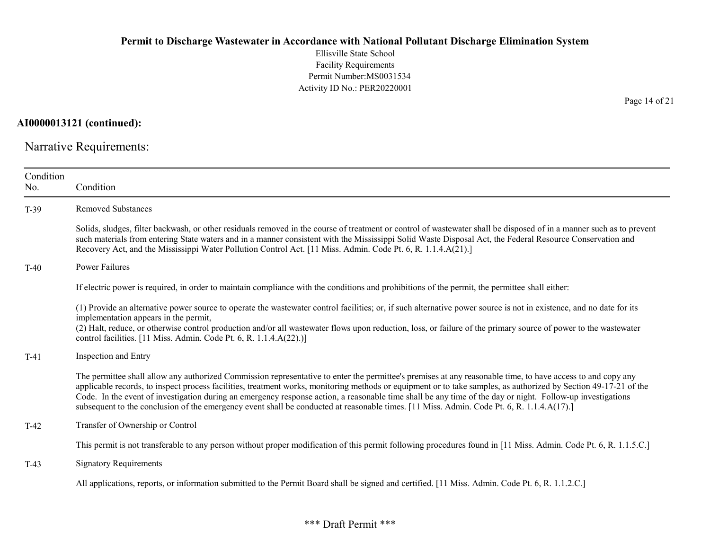Ellisville State School Facility Requirements Permit Number:MS0031534 Activity ID No.: PER20220001

AI0000013121 (continued):

Narrative Requirements:

| Condition<br>No. | Condition                                                                                                                                                                                                                                                                                                                                                                                                                                                                                                                                                                                                                                  |
|------------------|--------------------------------------------------------------------------------------------------------------------------------------------------------------------------------------------------------------------------------------------------------------------------------------------------------------------------------------------------------------------------------------------------------------------------------------------------------------------------------------------------------------------------------------------------------------------------------------------------------------------------------------------|
| $T-39$           | <b>Removed Substances</b>                                                                                                                                                                                                                                                                                                                                                                                                                                                                                                                                                                                                                  |
|                  | Solids, sludges, filter backwash, or other residuals removed in the course of treatment or control of wastewater shall be disposed of in a manner such as to prevent<br>such materials from entering State waters and in a manner consistent with the Mississippi Solid Waste Disposal Act, the Federal Resource Conservation and<br>Recovery Act, and the Mississippi Water Pollution Control Act. [11 Miss. Admin. Code Pt. 6, R. 1.1.4.A(21).]                                                                                                                                                                                          |
| $T-40$           | Power Failures                                                                                                                                                                                                                                                                                                                                                                                                                                                                                                                                                                                                                             |
|                  | If electric power is required, in order to maintain compliance with the conditions and prohibitions of the permit, the permittee shall either:                                                                                                                                                                                                                                                                                                                                                                                                                                                                                             |
|                  | (1) Provide an alternative power source to operate the wastewater control facilities; or, if such alternative power source is not in existence, and no date for its<br>implementation appears in the permit,<br>(2) Halt, reduce, or otherwise control production and/or all wastewater flows upon reduction, loss, or failure of the primary source of power to the wastewater<br>control facilities. [11 Miss. Admin. Code Pt. 6, R. 1.1.4.A(22).)]                                                                                                                                                                                      |
| $T-41$           | Inspection and Entry                                                                                                                                                                                                                                                                                                                                                                                                                                                                                                                                                                                                                       |
|                  | The permittee shall allow any authorized Commission representative to enter the permittee's premises at any reasonable time, to have access to and copy any<br>applicable records, to inspect process facilities, treatment works, monitoring methods or equipment or to take samples, as authorized by Section 49-17-21 of the<br>Code. In the event of investigation during an emergency response action, a reasonable time shall be any time of the day or night. Follow-up investigations<br>subsequent to the conclusion of the emergency event shall be conducted at reasonable times. [11 Miss. Admin. Code Pt. 6, R. 1.1.4.A(17).] |
| $T-42$           | Transfer of Ownership or Control                                                                                                                                                                                                                                                                                                                                                                                                                                                                                                                                                                                                           |
|                  | This permit is not transferable to any person without proper modification of this permit following procedures found in [11 Miss. Admin. Code Pt. 6, R. 1.1.5.C.]                                                                                                                                                                                                                                                                                                                                                                                                                                                                           |
| $T-43$           | <b>Signatory Requirements</b>                                                                                                                                                                                                                                                                                                                                                                                                                                                                                                                                                                                                              |
|                  | All applications, reports, or information submitted to the Permit Board shall be signed and certified. [11 Miss. Admin. Code Pt. 6, R. 1.1.2.C.]                                                                                                                                                                                                                                                                                                                                                                                                                                                                                           |

Page 14 of 21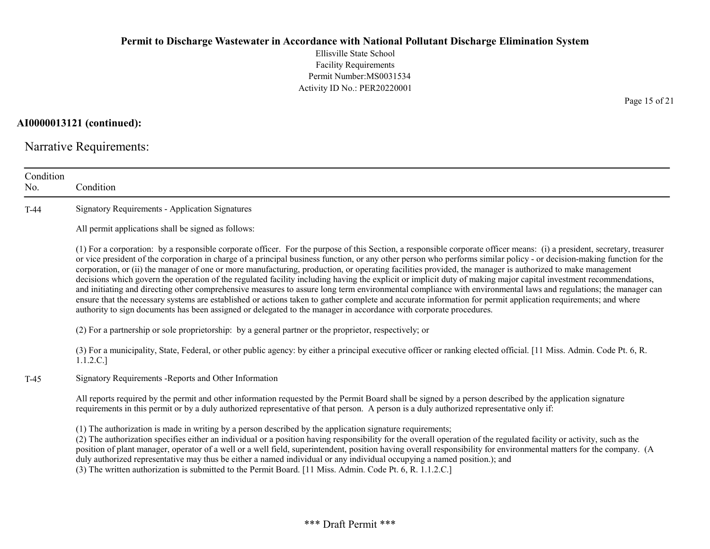Ellisville State School Facility Requirements Permit Number:MS0031534 Activity ID No.: PER20220001

AI0000013121 (continued):

Narrative Requirements:

| Condition<br>No. | Condition                                                                                                                                                                                                                                                                                                                                                                                                                                                                                                                                                                                                                                                                                                                                                                                                                                                                                                                                                                                                                                                                                                                                      |
|------------------|------------------------------------------------------------------------------------------------------------------------------------------------------------------------------------------------------------------------------------------------------------------------------------------------------------------------------------------------------------------------------------------------------------------------------------------------------------------------------------------------------------------------------------------------------------------------------------------------------------------------------------------------------------------------------------------------------------------------------------------------------------------------------------------------------------------------------------------------------------------------------------------------------------------------------------------------------------------------------------------------------------------------------------------------------------------------------------------------------------------------------------------------|
| $T-44$           | <b>Signatory Requirements - Application Signatures</b>                                                                                                                                                                                                                                                                                                                                                                                                                                                                                                                                                                                                                                                                                                                                                                                                                                                                                                                                                                                                                                                                                         |
|                  | All permit applications shall be signed as follows:                                                                                                                                                                                                                                                                                                                                                                                                                                                                                                                                                                                                                                                                                                                                                                                                                                                                                                                                                                                                                                                                                            |
|                  | (1) For a corporation: by a responsible corporate officer. For the purpose of this Section, a responsible corporate officer means: (i) a president, secretary, treasurer<br>or vice president of the corporation in charge of a principal business function, or any other person who performs similar policy - or decision-making function for the<br>corporation, or (ii) the manager of one or more manufacturing, production, or operating facilities provided, the manager is authorized to make management<br>decisions which govern the operation of the regulated facility including having the explicit or implicit duty of making major capital investment recommendations,<br>and initiating and directing other comprehensive measures to assure long term environmental compliance with environmental laws and regulations; the manager can<br>ensure that the necessary systems are established or actions taken to gather complete and accurate information for permit application requirements; and where<br>authority to sign documents has been assigned or delegated to the manager in accordance with corporate procedures. |
|                  | (2) For a partnership or sole proprietorship: by a general partner or the proprietor, respectively; or                                                                                                                                                                                                                                                                                                                                                                                                                                                                                                                                                                                                                                                                                                                                                                                                                                                                                                                                                                                                                                         |
|                  | (3) For a municipality, State, Federal, or other public agency: by either a principal executive officer or ranking elected official. [11 Miss. Admin. Code Pt. 6, R.<br>1.1.2.C.]                                                                                                                                                                                                                                                                                                                                                                                                                                                                                                                                                                                                                                                                                                                                                                                                                                                                                                                                                              |
| $T-45$           | Signatory Requirements - Reports and Other Information                                                                                                                                                                                                                                                                                                                                                                                                                                                                                                                                                                                                                                                                                                                                                                                                                                                                                                                                                                                                                                                                                         |
|                  | All reports required by the permit and other information requested by the Permit Board shall be signed by a person described by the application signature<br>requirements in this permit or by a duly authorized representative of that person. A person is a duly authorized representative only if:                                                                                                                                                                                                                                                                                                                                                                                                                                                                                                                                                                                                                                                                                                                                                                                                                                          |
|                  | (1) The authorization is made in writing by a person described by the application signature requirements;<br>(2) The authorization specifies either an individual or a position having responsibility for the overall operation of the regulated facility or activity, such as the<br>position of plant manager, operator of a well or a well field, superintendent, position having overall responsibility for environmental matters for the company. (A<br>duly authorized representative may thus be either a named individual or any individual occupying a named position.); and<br>(3) The written authorization is submitted to the Permit Board. [11 Miss. Admin. Code Pt. 6, R. 1.1.2.C.]                                                                                                                                                                                                                                                                                                                                                                                                                                             |

Page 15 of 21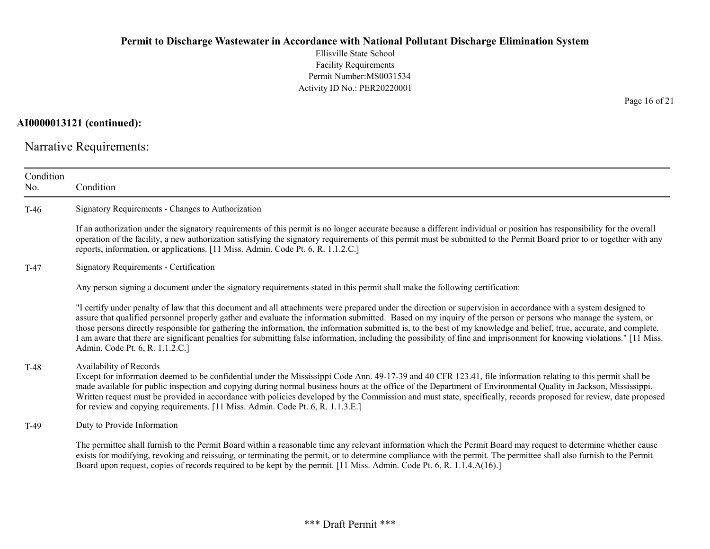Ellisville State School Facility Requirements Permit Number:MS0031534 Activity ID No.: PER20220001

# AI0000013121 (continued):

Narrative Requirements:

| Condition<br>No. | Condition                                                                                                                                                                                                                                                                                                                                                                                                                                                                                                                                                                                                                                                                                                                |
|------------------|--------------------------------------------------------------------------------------------------------------------------------------------------------------------------------------------------------------------------------------------------------------------------------------------------------------------------------------------------------------------------------------------------------------------------------------------------------------------------------------------------------------------------------------------------------------------------------------------------------------------------------------------------------------------------------------------------------------------------|
| $T-46$           | Signatory Requirements - Changes to Authorization                                                                                                                                                                                                                                                                                                                                                                                                                                                                                                                                                                                                                                                                        |
|                  | If an authorization under the signatory requirements of this permit is no longer accurate because a different individual or position has responsibility for the overall<br>operation of the facility, a new authorization satisfying the signatory requirements of this permit must be submitted to the Permit Board prior to or together with any<br>reports, information, or applications. [11 Miss. Admin. Code Pt. 6, R. 1.1.2.C.]                                                                                                                                                                                                                                                                                   |
| $T-47$           | Signatory Requirements - Certification                                                                                                                                                                                                                                                                                                                                                                                                                                                                                                                                                                                                                                                                                   |
|                  | Any person signing a document under the signatory requirements stated in this permit shall make the following certification:                                                                                                                                                                                                                                                                                                                                                                                                                                                                                                                                                                                             |
|                  | "I certify under penalty of law that this document and all attachments were prepared under the direction or supervision in accordance with a system designed to<br>assure that qualified personnel properly gather and evaluate the information submitted. Based on my inquiry of the person or persons who manage the system, or<br>those persons directly responsible for gathering the information, the information submitted is, to the best of my knowledge and belief, true, accurate, and complete.<br>I am aware that there are significant penalties for submitting false information, including the possibility of fine and imprisonment for knowing violations." [11 Miss.<br>Admin. Code Pt. 6, R. 1.1.2.C.] |
| $T-48$           | Availability of Records<br>Except for information deemed to be confidential under the Mississippi Code Ann. 49-17-39 and 40 CFR 123.41, file information relating to this permit shall be<br>made available for public inspection and copying during normal business hours at the office of the Department of Environmental Quality in Jackson, Mississippi.<br>Written request must be provided in accordance with policies developed by the Commission and must state, specifically, records proposed for review, date proposed<br>for review and copying requirements. [11 Miss. Admin. Code Pt. 6, R. 1.1.3.E.]                                                                                                      |
| $T-49$           | Duty to Provide Information                                                                                                                                                                                                                                                                                                                                                                                                                                                                                                                                                                                                                                                                                              |
|                  | The permittee shall furnish to the Permit Board within a reasonable time any relevant information which the Permit Board may request to determine whether cause<br>exists for modifying, revoking and reissuing, or terminating the permit, or to determine compliance with the permit. The permittee shall also furnish to the Permit<br>Board upon request, copies of records required to be kept by the permit. [11 Miss. Admin. Code Pt. 6, R. 1.1.4.A(16).]                                                                                                                                                                                                                                                         |

Page 16 of 21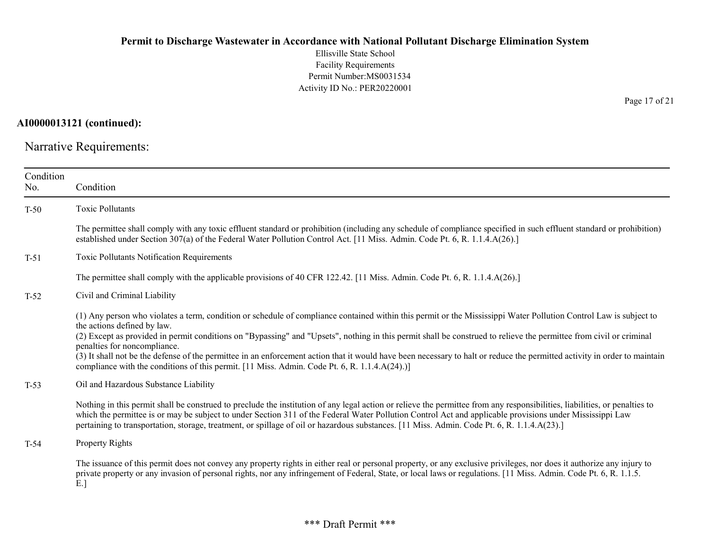Ellisville State School Facility Requirements Permit Number:MS0031534 Activity ID No.: PER20220001

AI0000013121 (continued):

Narrative Requirements:

| Condition<br>No. | Condition                                                                                                                                                                                                                                                                                                                                                                                                                                                                                                                                                                                                                                                                            |
|------------------|--------------------------------------------------------------------------------------------------------------------------------------------------------------------------------------------------------------------------------------------------------------------------------------------------------------------------------------------------------------------------------------------------------------------------------------------------------------------------------------------------------------------------------------------------------------------------------------------------------------------------------------------------------------------------------------|
| $T-50$           | <b>Toxic Pollutants</b>                                                                                                                                                                                                                                                                                                                                                                                                                                                                                                                                                                                                                                                              |
|                  | The permittee shall comply with any toxic effluent standard or prohibition (including any schedule of compliance specified in such effluent standard or prohibition)<br>established under Section 307(a) of the Federal Water Pollution Control Act. [11 Miss. Admin. Code Pt. 6, R. 1.1.4.A(26).]                                                                                                                                                                                                                                                                                                                                                                                   |
| $T-51$           | Toxic Pollutants Notification Requirements                                                                                                                                                                                                                                                                                                                                                                                                                                                                                                                                                                                                                                           |
|                  | The permittee shall comply with the applicable provisions of 40 CFR 122.42. [11 Miss. Admin. Code Pt. 6, R. 1.1.4.A(26).]                                                                                                                                                                                                                                                                                                                                                                                                                                                                                                                                                            |
| $T-52$           | Civil and Criminal Liability                                                                                                                                                                                                                                                                                                                                                                                                                                                                                                                                                                                                                                                         |
|                  | (1) Any person who violates a term, condition or schedule of compliance contained within this permit or the Mississippi Water Pollution Control Law is subject to<br>the actions defined by law.<br>(2) Except as provided in permit conditions on "Bypassing" and "Upsets", nothing in this permit shall be construed to relieve the permittee from civil or criminal<br>penalties for noncompliance.<br>(3) It shall not be the defense of the permittee in an enforcement action that it would have been necessary to halt or reduce the permitted activity in order to maintain<br>compliance with the conditions of this permit. [11 Miss. Admin. Code Pt. 6, R. 1.1.4.A(24).)] |
| $T-53$           | Oil and Hazardous Substance Liability                                                                                                                                                                                                                                                                                                                                                                                                                                                                                                                                                                                                                                                |
|                  | Nothing in this permit shall be construed to preclude the institution of any legal action or relieve the permittee from any responsibilities, liabilities, or penalties to<br>which the permittee is or may be subject to under Section 311 of the Federal Water Pollution Control Act and applicable provisions under Mississippi Law<br>pertaining to transportation, storage, treatment, or spillage of oil or hazardous substances. [11 Miss. Admin. Code Pt. 6, R. 1.1.4.A(23).]                                                                                                                                                                                                |
| $T-54$           | <b>Property Rights</b>                                                                                                                                                                                                                                                                                                                                                                                                                                                                                                                                                                                                                                                               |
|                  | The issuance of this permit does not convey any property rights in either real or personal property, or any exclusive privileges, nor does it authorize any injury to<br>private property or any invasion of personal rights, nor any infringement of Federal, State, or local laws or regulations. [11 Miss. Admin. Code Pt. 6, R. 1.1.5.<br>E.                                                                                                                                                                                                                                                                                                                                     |

Page 17 of 21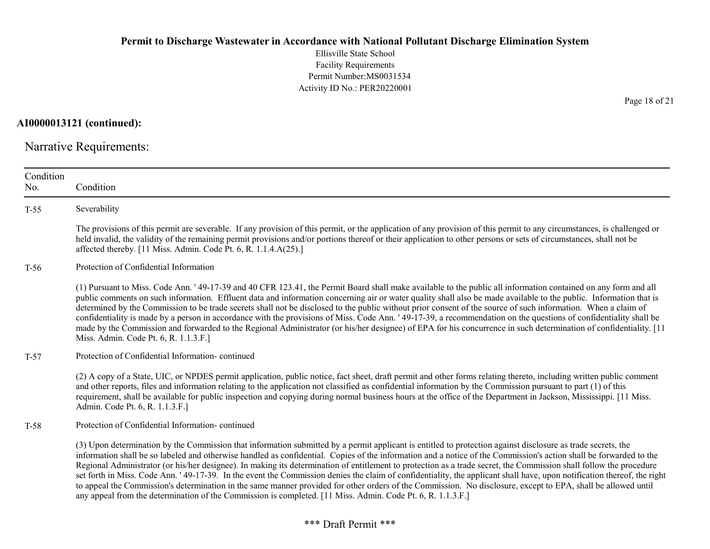Ellisville State School Facility Requirements Permit Number:MS0031534 Activity ID No.: PER20220001

AI0000013121 (continued):

Narrative Requirements:

| Condition<br>No. | Condition                                                                                                                                                                                                                                                                                                                                                                                                                                                                                                                                                                                                                                                                                                                                                                                                                                                                                                                                                             |
|------------------|-----------------------------------------------------------------------------------------------------------------------------------------------------------------------------------------------------------------------------------------------------------------------------------------------------------------------------------------------------------------------------------------------------------------------------------------------------------------------------------------------------------------------------------------------------------------------------------------------------------------------------------------------------------------------------------------------------------------------------------------------------------------------------------------------------------------------------------------------------------------------------------------------------------------------------------------------------------------------|
| $T-55$           | Severability                                                                                                                                                                                                                                                                                                                                                                                                                                                                                                                                                                                                                                                                                                                                                                                                                                                                                                                                                          |
|                  | The provisions of this permit are severable. If any provision of this permit, or the application of any provision of this permit to any circumstances, is challenged or<br>held invalid, the validity of the remaining permit provisions and/or portions thereof or their application to other persons or sets of circumstances, shall not be<br>affected thereby. [11 Miss. Admin. Code Pt. 6, R. 1.1.4.A(25).]                                                                                                                                                                                                                                                                                                                                                                                                                                                                                                                                                      |
| $T-56$           | Protection of Confidential Information                                                                                                                                                                                                                                                                                                                                                                                                                                                                                                                                                                                                                                                                                                                                                                                                                                                                                                                                |
|                  | (1) Pursuant to Miss. Code Ann. '49-17-39 and 40 CFR 123.41, the Permit Board shall make available to the public all information contained on any form and all<br>public comments on such information. Effluent data and information concerning air or water quality shall also be made available to the public. Information that is<br>determined by the Commission to be trade secrets shall not be disclosed to the public without prior consent of the source of such information. When a claim of<br>confidentiality is made by a person in accordance with the provisions of Miss. Code Ann. '49-17-39, a recommendation on the questions of confidentiality shall be<br>made by the Commission and forwarded to the Regional Administrator (or his/her designee) of EPA for his concurrence in such determination of confidentiality. [11]<br>Miss. Admin. Code Pt. 6, R. 1.1.3.F.]                                                                            |
| $T-57$           | Protection of Confidential Information-continued                                                                                                                                                                                                                                                                                                                                                                                                                                                                                                                                                                                                                                                                                                                                                                                                                                                                                                                      |
|                  | (2) A copy of a State, UIC, or NPDES permit application, public notice, fact sheet, draft permit and other forms relating thereto, including written public comment<br>and other reports, files and information relating to the application not classified as confidential information by the Commission pursuant to part (1) of this<br>requirement, shall be available for public inspection and copying during normal business hours at the office of the Department in Jackson, Mississippi. [11 Miss.<br>Admin. Code Pt. 6, R. 1.1.3.F.]                                                                                                                                                                                                                                                                                                                                                                                                                         |
| $T-58$           | Protection of Confidential Information-continued                                                                                                                                                                                                                                                                                                                                                                                                                                                                                                                                                                                                                                                                                                                                                                                                                                                                                                                      |
|                  | (3) Upon determination by the Commission that information submitted by a permit applicant is entitled to protection against disclosure as trade secrets, the<br>information shall be so labeled and otherwise handled as confidential. Copies of the information and a notice of the Commission's action shall be forwarded to the<br>Regional Administrator (or his/her designee). In making its determination of entitlement to protection as a trade secret, the Commission shall follow the procedure<br>set forth in Miss. Code Ann. ' 49-17-39. In the event the Commission denies the claim of confidentiality, the applicant shall have, upon notification thereof, the right<br>to appeal the Commission's determination in the same manner provided for other orders of the Commission. No disclosure, except to EPA, shall be allowed until<br>any appeal from the determination of the Commission is completed. [11 Miss. Admin. Code Pt. 6, R. 1.1.3.F.] |

Page 18 of 21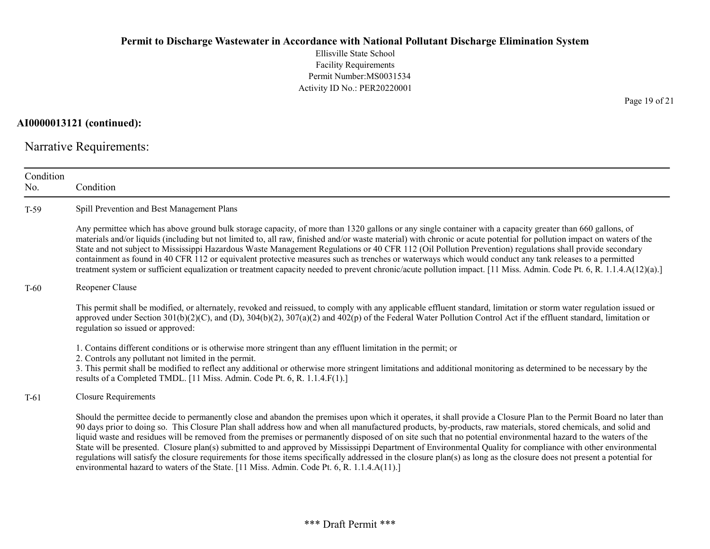Ellisville State School Facility Requirements Permit Number:MS0031534 Activity ID No.: PER20220001

AI0000013121 (continued):

Narrative Requirements:

| Condition<br>No. | Condition                                                                                                                                                                                                                                                                                                                                                                                                                                                                                                                                                                                                                                                                                                                                                                                                                                                                                                                                          |  |  |
|------------------|----------------------------------------------------------------------------------------------------------------------------------------------------------------------------------------------------------------------------------------------------------------------------------------------------------------------------------------------------------------------------------------------------------------------------------------------------------------------------------------------------------------------------------------------------------------------------------------------------------------------------------------------------------------------------------------------------------------------------------------------------------------------------------------------------------------------------------------------------------------------------------------------------------------------------------------------------|--|--|
| $T-59$           | Spill Prevention and Best Management Plans                                                                                                                                                                                                                                                                                                                                                                                                                                                                                                                                                                                                                                                                                                                                                                                                                                                                                                         |  |  |
|                  | Any permittee which has above ground bulk storage capacity, of more than 1320 gallons or any single container with a capacity greater than 660 gallons, of<br>materials and/or liquids (including but not limited to, all raw, finished and/or waste material) with chronic or acute potential for pollution impact on waters of the<br>State and not subject to Mississippi Hazardous Waste Management Regulations or 40 CFR 112 (Oil Pollution Prevention) regulations shall provide secondary<br>containment as found in 40 CFR 112 or equivalent protective measures such as trenches or waterways which would conduct any tank releases to a permitted<br>treatment system or sufficient equalization or treatment capacity needed to prevent chronic/acute pollution impact. [11 Miss. Admin. Code Pt. 6, R. 1.1.4.A(12)(a).]                                                                                                                |  |  |
| $T-60$           | Reopener Clause                                                                                                                                                                                                                                                                                                                                                                                                                                                                                                                                                                                                                                                                                                                                                                                                                                                                                                                                    |  |  |
|                  | This permit shall be modified, or alternately, revoked and reissued, to comply with any applicable effluent standard, limitation or storm water regulation issued or<br>approved under Section $301(b)(2)(C)$ , and (D), $304(b)(2)$ , $307(a)(2)$ and $402(p)$ of the Federal Water Pollution Control Act if the effluent standard, limitation or<br>regulation so issued or approved:                                                                                                                                                                                                                                                                                                                                                                                                                                                                                                                                                            |  |  |
|                  | 1. Contains different conditions or is otherwise more stringent than any effluent limitation in the permit; or<br>2. Controls any pollutant not limited in the permit.<br>3. This permit shall be modified to reflect any additional or otherwise more stringent limitations and additional monitoring as determined to be necessary by the<br>results of a Completed TMDL. [11 Miss. Admin. Code Pt. 6, R. 1.1.4.F(1).]                                                                                                                                                                                                                                                                                                                                                                                                                                                                                                                           |  |  |
| $T-61$           | <b>Closure Requirements</b>                                                                                                                                                                                                                                                                                                                                                                                                                                                                                                                                                                                                                                                                                                                                                                                                                                                                                                                        |  |  |
|                  | Should the permittee decide to permanently close and abandon the premises upon which it operates, it shall provide a Closure Plan to the Permit Board no later than<br>90 days prior to doing so. This Closure Plan shall address how and when all manufactured products, by-products, raw materials, stored chemicals, and solid and<br>liquid waste and residues will be removed from the premises or permanently disposed of on site such that no potential environmental hazard to the waters of the<br>State will be presented. Closure plan(s) submitted to and approved by Mississippi Department of Environmental Quality for compliance with other environmental<br>regulations will satisfy the closure requirements for those items specifically addressed in the closure plan(s) as long as the closure does not present a potential for<br>environmental hazard to waters of the State. [11 Miss. Admin. Code Pt. 6, R. 1.1.4.A(11).] |  |  |

Page 19 of 21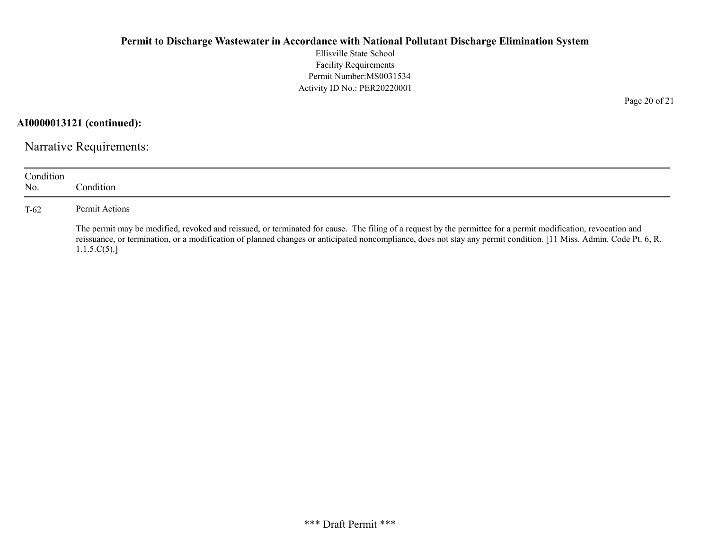Ellisville State School Facility Requirements Permit Number:MS0031534 Activity ID No.: PER20220001

AI0000013121 (continued):

Narrative Requirements:

| Condition<br>No. | Condition                                                                                                                                                                                                                                                                                                                                          |
|------------------|----------------------------------------------------------------------------------------------------------------------------------------------------------------------------------------------------------------------------------------------------------------------------------------------------------------------------------------------------|
| $T-62$           | Permit Actions                                                                                                                                                                                                                                                                                                                                     |
|                  | The permit may be modified, revoked and reissued, or terminated for cause. The filing of a request by the permittee for a permit modification, revocation and<br>reissuance, or termination, or a modification of planned changes or anticipated noncompliance, does not stay any permit condition. [11 Miss. Admin. Code Pt. 6, R.<br>1.1.5.C(5). |

Page 20 of 21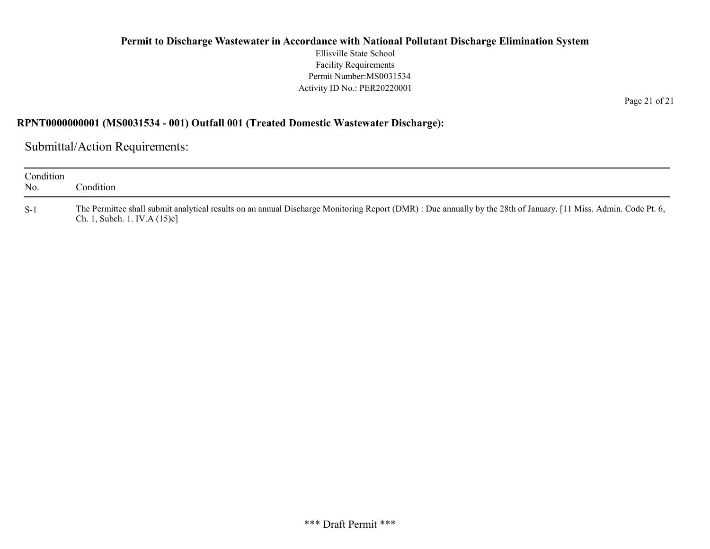Ellisville State School Facility Requirements Permit Number:MS0031534 Activity ID No.: PER20220001

Page 21 of 21

#### RPNT0000000001 (MS0031534 - 001) Outfall 001 (Treated Domestic Wastewater Discharge):

Submittal/Action Requirements:

| Condition<br>No. | Condition                                                                                                                                                                                           |
|------------------|-----------------------------------------------------------------------------------------------------------------------------------------------------------------------------------------------------|
| $S-1$            | The Permittee shall submit analytical results on an annual Discharge Monitoring Report (DMR) : Due annually by the 28th of January. [11 Miss. Admin. Code Pt. 6,<br>Ch. 1, Subch. 1. IV.A $(15)c$ ] |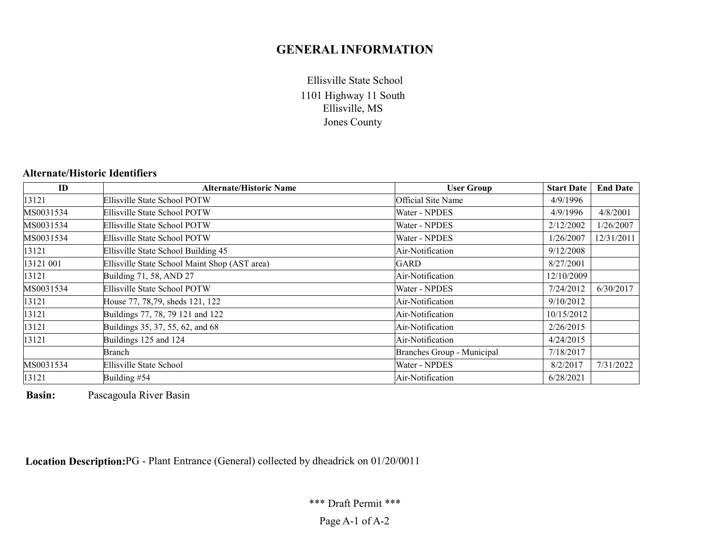# GENERAL INFORMATION

1101 Highway 11 South Ellisville, MS Jones County Ellisville State School

# Alternate/Historic Identifiers

| ID        | <b>Alternate/Historic Name</b>                | <b>User Group</b>          | <b>Start Date</b> | <b>End Date</b> |
|-----------|-----------------------------------------------|----------------------------|-------------------|-----------------|
| 13121     | Ellisville State School POTW                  | Official Site Name         | 4/9/1996          |                 |
| MS0031534 | Ellisville State School POTW                  | Water - NPDES              | 4/9/1996          | 4/8/2001        |
| MS0031534 | Ellisville State School POTW                  | Water - NPDES              | 2/12/2002         | 1/26/2007       |
| MS0031534 | Ellisville State School POTW                  | Water - NPDES              | 1/26/2007         | 12/31/2011      |
| 13121     | Ellisville State School Building 45           | Air-Notification           | 9/12/2008         |                 |
| 13121 001 | Ellisville State School Maint Shop (AST area) | <b>GARD</b>                | 8/27/2001         |                 |
| 13121     | Building 71, 58, AND 27                       | Air-Notification           | 12/10/2009        |                 |
| MS0031534 | Ellisville State School POTW                  | Water - NPDES              | 7/24/2012         | 6/30/2017       |
| 13121     | House 77, 78,79, sheds 121, 122               | Air-Notification           | 9/10/2012         |                 |
| 13121     | Buildings 77, 78, 79 121 and 122              | Air-Notification           | 10/15/2012        |                 |
| 13121     | Buildings 35, 37, 55, 62, and 68              | Air-Notification           | 2/26/2015         |                 |
| 13121     | Buildings 125 and 124                         | Air-Notification           | 4/24/2015         |                 |
|           | Branch                                        | Branches Group - Municipal | 7/18/2017         |                 |
| MS0031534 | Ellisville State School                       | Water - NPDES              | 8/2/2017          | 7/31/2022       |
| 13121     | Building #54                                  | Air-Notification           | 6/28/2021         |                 |

Basin: Pascagoula River Basin

Location Description:PG - Plant Entrance (General) collected by dheadrick on 01/20/0011